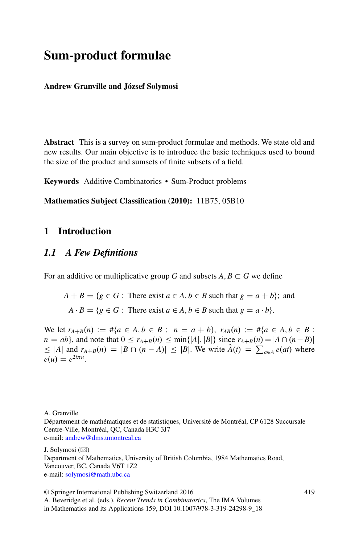# **Sum-product formulae**

#### **Andrew Granville and József Solymosi**

**Abstract** This is a survey on sum-product formulae and methods. We state old and new results. Our main objective is to introduce the basic techniques used to bound the size of the product and sumsets of finite subsets of a field.

**Keywords** Additive Combinatorics • Sum-Product problems

**Mathematics Subject Classification (2010):** 11B75, 05B10

# **1 Introduction**

### *1.1 A Few Definitions*

For an additive or multiplicative group G and subsets  $A, B \subset G$  we define

 $A + B = \{g \in G :$  There exist  $a \in A, b \in B$  such that  $g = a + b\}$ ; and

 $A \cdot B = \{g \in G : \text{ There exist } a \in A, b \in B \text{ such that } g = a \cdot b\}.$ 

We let  $r_{A+B}(n) := \#\{a \in A, b \in B : n = a + b\}$ ,  $r_{AB}(n) := \#\{a \in A, b \in B :$  $n = ab$ }, and note that  $0 \le r_{A+B}(n) \le \min\{|A|, |B|\}$  since  $r_{A+B}(n) = |A \cap (n-B)|$  $\leq$  |*A*| and  $r_{A+B}(n) = |B \cap (n - A)| \leq |B|$ . We write  $\hat{A}(t) = \sum_{a \in A} e(at)$  where  $e(u) = e^{2i\pi u}$ .

A. Granville

Département de mathématiques et de statistiques, Université de Montréal, CP 6128 Succursale Centre-Ville, Montréal, QC, Canada H3C 3J7 e-mail: [andrew@dms.umontreal.ca](mailto:andrew@dms.umontreal.ca)

J. Solymosi (⊠)

Department of Mathematics, University of British Columbia, 1984 Mathematics Road, Vancouver, BC, Canada V6T 1Z2 e-mail: [solymosi@math.ubc.ca](mailto:solymosi@math.ubc.ca)

<sup>©</sup> Springer International Publishing Switzerland 2016

A. Beveridge et al. (eds.), *Recent Trends in Combinatorics*, The IMA Volumes in Mathematics and its Applications 159, DOI 10.1007/978-3-319-24298-9\_18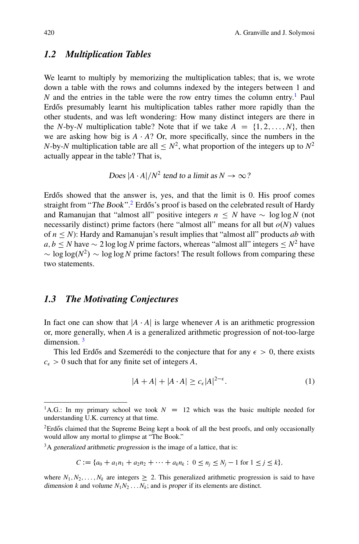## *1.2 Multiplication Tables*

We learnt to multiply by memorizing the multiplication tables; that is, we wrote down a table with the rows and columns indexed by the integers between 1 and *N* and the entries in the table were the row entry times the column entry.<sup>1</sup> Paul Erdős presumably learnt his multiplication tables rather more rapidly than the other students, and was left wondering: How many distinct integers are there in the *N*-by-*N* multiplication table? Note that if we take  $A = \{1, 2, ..., N\}$ , then we are asking how big is  $A \cdot A$ ? Or, more specifically, since the numbers in the *N*-by-*N* multiplication table are all  $\lt N^2$ , what proportion of the integers up to  $N^2$ actually appear in the table? That is,

Does  $|A \cdot A|/N^2$  tend to a limit as  $N \to \infty$ ?

Erd $\delta$ s showed that the answer is, yes, and that the limit is  $\delta$ . His proof comes straight from "The Book".<sup>[2](#page-1-1)</sup> Erdős's proof is based on the celebrated result of Hardy and Ramanujan that "almost all" positive integers  $n \leq N$  have  $\sim \log \log N$  (not necessarily distinct) prime factors (here "almost all" means for all but  $o(N)$  values of  $n \leq N$ : Hardy and Ramanujan's result implies that "almost all" products *ab* with  $a, b \le N$  have  $\sim 2 \log \log N$  prime factors, whereas "almost all" integers  $\le N^2$  have  $\sim$  log log( $N^2$ )  $\sim$  log log *N* prime factors! The result follows from comparing these two statements.

#### *1.3 The Motivating Conjectures*

In fact one can show that  $\left|A \cdot A\right|$  is large whenever *A* is an arithmetic progression or, more generally, when *A* is a generalized arithmetic progression of not-too-large dimension. [3](#page-1-2)

This led Erdős and Szemerédi to the conjecture that for any  $\epsilon > 0$ , there exists  $c_{\epsilon} > 0$  such that for any finite set of integers *A*,

<span id="page-1-3"></span>
$$
|A + A| + |A \cdot A| \ge c_{\epsilon} |A|^{2 - \epsilon}.
$$
 (1)

$$
C := \{a_0 + a_1n_1 + a_2n_2 + \cdots + a_kn_k : 0 \le n_j \le N_j - 1 \text{ for } 1 \le j \le k\},\
$$

where  $N_1, N_2, \ldots, N_k$  are integers  $\geq 2$ . This generalized arithmetic progression is said to have dimension *k* and volume  $N_1N_2 \ldots N_k$ ; and is proper if its elements are distinct.

<span id="page-1-0"></span><sup>&</sup>lt;sup>1</sup>A.G.: In my primary school we took  $N = 12$  which was the basic multiple needed for understanding U.K. currency at that time.

<span id="page-1-1"></span> ${}^{2}$ Erdős claimed that the Supreme Being kept a book of all the best proofs, and only occasionally would allow any mortal to glimpse at "The Book."

<span id="page-1-2"></span><sup>&</sup>lt;sup>3</sup>A generalized arithmetic progression is the image of a lattice, that is: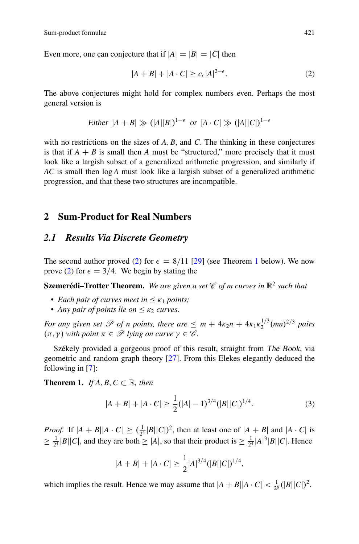Even more, one can conjecture that if  $|A| = |B| = |C|$  then

<span id="page-2-0"></span>
$$
|A + B| + |A \cdot C| \ge c_{\epsilon} |A|^{2 - \epsilon}.
$$
 (2)

The above conjectures might hold for complex numbers even. Perhaps the most general version is

Either 
$$
|A + B| \gg (|A||B|)^{1-\epsilon}
$$
 or  $|A \cdot C| \gg (|A||C|)^{1-\epsilon}$ 

with no restrictions on the sizes of  $A, B$ , and  $C$ . The thinking in these conjectures is that if  $A + B$  is small then *A* must be "structured," more precisely that it must look like a largish subset of a generalized arithmetic progression, and similarly if *AC* is small then log *A* must look like a largish subset of a generalized arithmetic progression, and that these two structures are incompatible.

#### **2 Sum-Product for Real Numbers**

#### *2.1 Results Via Discrete Geometry*

The second author proved [\(2\)](#page-2-0) for  $\epsilon = 8/11$  $\epsilon = 8/11$  $\epsilon = 8/11$  [\[29\]](#page-32-0) (see Theorem 1 below). We now prove [\(2\)](#page-2-0) for  $\epsilon = 3/4$ . We begin by stating the

**Szemerédi–Trotter Theorem.** *We are given a set C of m curves in* R<sup>2</sup> *such that*

- *Each pair of curves meet in*  $\leq \kappa_1$  *points;*
- *Any pair of points lie on*  $\lt$   $\kappa_2$  *curves.*

*For any given set*  $\mathscr P$  *of n points, there are*  $\leq m + 4\kappa_2 n + 4\kappa_1 \kappa_2^{1/3} (mn)^{2/3}$  *pairs*  $(\pi, \gamma)$  with point  $\pi \in \mathcal{P}$  lying on curve  $\gamma \in \mathcal{C}$ .

Székely provided a gorgeous proof of this result, straight from The Book, via geometric and random graph theory [\[27\]](#page-32-1). From this Elekes elegantly deduced the following in [\[7\]](#page-31-0):

**Theorem 1.** *If A*, *B*,  $C \subset \mathbb{R}$ *, then* 

<span id="page-2-1"></span>
$$
|A + B| + |A \cdot C| \ge \frac{1}{2} (|A| - 1)^{3/4} (|B||C|)^{1/4}.
$$
 (3)

*Proof.* If  $|A + B||A \cdot C| \geq (\frac{1}{2^4}|B||C|)^2$ , then at least one of  $|A + B|$  and  $|A \cdot C|$  is  $\geq \frac{1}{2^4} |B||C|$ , and they are both  $\geq |A|$ , so that their product is  $\geq \frac{1}{2^4} |A|^3 |B||C|$ . Hence

$$
|A + B| + |A \cdot C| \ge \frac{1}{2}|A|^{3/4} (|B||C|)^{1/4},
$$

which implies the result. Hence we may assume that  $|A + B||A \cdot C| < \frac{1}{2^8}(|B||C|)^2$ .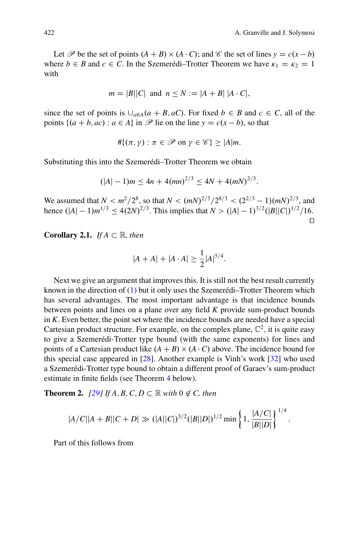:

Let  $\mathcal{P}$  be the set of points  $(A + B) \times (A \cdot C)$ ; and  $\mathcal{C}$  the set of lines  $y = c(x - b)$ where  $b \in B$  and  $c \in C$ . In the Szemerédi–Trotter Theorem we have  $\kappa_1 = \kappa_2 = 1$ with

$$
m = |B||C| \text{ and } n \le N := |A + B| |A \cdot C|,
$$

since the set of points is  $\bigcup_{a \in A} (a + B, aC)$ . For fixed  $b \in B$  and  $c \in C$ , all of the points  $\{(a + b, ac) : a \in A\}$  in  $\mathcal P$  lie on the line  $y = c(x - b)$ , so that

$$
\#\{(\pi,\gamma): \pi \in \mathscr{P} \text{ on } \gamma \in \mathscr{C}\} \ge |A|m.
$$

Substituting this into the Szemerédi–Trotter Theorem we obtain

$$
(|A| - 1)m \le 4n + 4(mn)^{2/3} \le 4N + 4(mN)^{2/3}.
$$

We assumed that  $N < m^2/2^8$ , so that  $N < (mN)^{2/3}/2^{8/3} < (2^{2/3} - 1)(mN)^{2/3}$ , and hence  $(|A| - 1)m^{1/3} \leq 4(2N)^{2/3}$ . This implies that  $N > (|A| - 1)^{3/2}(|B||C|)^{1/2}/16$ .  $\Box$ 

**Corollary 2.1.** *If*  $A \subset \mathbb{R}$ *, then* 

$$
|A + A| + |A \cdot A| \ge \frac{1}{2} |A|^{5/4}.
$$

Next we give an argument that improves this. It is still not the best result currently known in the direction of [\(1\)](#page-1-3) but it only uses the Szemerédi–Trotter Theorem which has several advantages. The most important advantage is that incidence bounds between points and lines on a plane over any field *K* provide sum-product bounds in *K*: Even better, the point set where the incidence bounds are needed have a special Cartesian product structure. For example, on the complex plane,  $\mathbb{C}^2$ , it is quite easy to give a Szemerédi-Trotter type bound (with the same exponents) for lines and points of a Cartesian product like  $(A + B) \times (A \cdot C)$  above. The incidence bound for this special case appeared in [\[28\]](#page-32-2). Another example is Vinh's work [\[32\]](#page-32-3) who used a Szemerédi-Trotter type bound to obtain a different proof of Garaev's sum-product estimate in finite fields (see Theorem [4](#page-13-0) below).

**Theorem 2.**  $[29]$  If  $A, B, C, D \subset \mathbb{R}$  with  $0 \notin C$ , then

<span id="page-3-0"></span>
$$
|A/C||A+B||C+D| \gg (|A||C|)^{3/2}(|B||D|)^{1/2} \min \left\{1, \frac{|A/C|}{|B||D|}\right\}^{1/4}
$$

Part of this follows from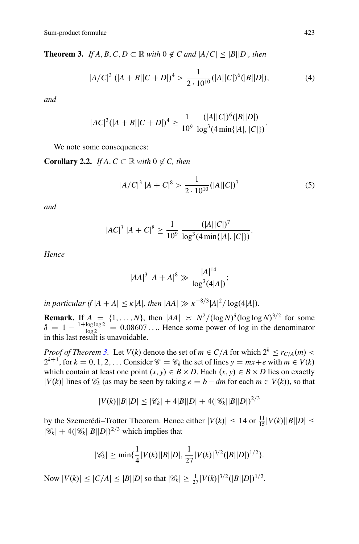**Theorem 3.** *If A*, *B*, *C*, *D*  $\subset \mathbb{R}$  *with* 0  $\notin C$  *and*  $|A/C| \leq |B||D|$ *, then* 

<span id="page-4-0"></span>
$$
|A/C|^3 (|A + B||C + D|)^4 > \frac{1}{2 \cdot 10^{10}} (|A||C|)^6 (|B||D|), \tag{4}
$$

*and*

$$
|AC|^3(|A+B||C+D|)^4 \ge \frac{1}{10^9} \frac{(|A||C|)^6(|B||D|)}{\log^3(4\min\{|A|,|C|\})}.
$$

We note some consequences:

**Corollary 2.2.** *If A*,  $C \subset \mathbb{R}$  *with*  $0 \notin C$ *, then* 

<span id="page-4-1"></span>
$$
|A/C|^3 |A + C|^8 > \frac{1}{2 \cdot 10^{10}} (|A||C|)^7
$$
 (5)

*and*

$$
|AC|^3 |A + C|^8 \ge \frac{1}{10^9} \frac{(|A||C|)^7}{\log^3(4 \min\{|A|, |C|\})}.
$$

*Hence*

$$
|AA|^3 |A+A|^8 \gg \frac{|A|^{14}}{\log^3(4|A|)};
$$

*in particular if*  $|A + A| \le \kappa |A|$ *, then*  $|AA| \gg \kappa^{-8/3}|A|^2 / \log(4|A|)$ *.* 

**Remark.** If  $A = \{1, ..., N\}$ , then  $|AA| \approx N^2/(\log N)^{\delta}(\log \log N)^{3/2}$  for some  $\delta = 1 - \frac{1 + \log \log 2}{\log 2} = 0.08607...$  Hence some power of log in the denominator in this last result is unavoidable.

*Proof of Theorem [3.](#page-4-0)* Let *V*(*k*) denote the set of  $m \in C/A$  for which  $2^k \leq r_{C/A}(m)$  $2^{k+1}$ , for  $k = 0, 1, 2, \ldots$  Consider  $\mathcal{C} = \mathcal{C}_k$  the set of lines  $y = mx + e$  with  $m \in V(k)$ which contain at least one point  $(x, y) \in B \times D$ . Each  $(x, y) \in B \times D$  lies on exactly *|V(k)|* lines of  $\mathcal{C}_k$  (as may be seen by taking  $e = b - dm$  for each  $m \in V(k)$ ), so that

$$
|V(k)||B||D| \leq |\mathscr{C}_k| + 4|B||D| + 4(|\mathscr{C}_k||B||D|)^{2/3}
$$

by the Szemerédi–Trotter Theorem. Hence either  $|V(k)| \le 14$  or  $\frac{11}{15}|V(k)||B||D| \le$  $|\mathscr{C}_k|$  + 4( $|\mathscr{C}_k||B||D|$ )<sup>2/3</sup> which implies that

$$
|\mathscr{C}_k| \ge \min\{\frac{1}{4}|V(k)||B||D|, \frac{1}{27}|V(k)|^{3/2}(|B||D|)^{1/2}\}.
$$

Now  $|V(k)| \le |C/A| \le |B||D|$  so that  $|\mathscr{C}_k| \ge \frac{1}{27} |V(k)|^{3/2} (|B||D|)^{1/2}$ .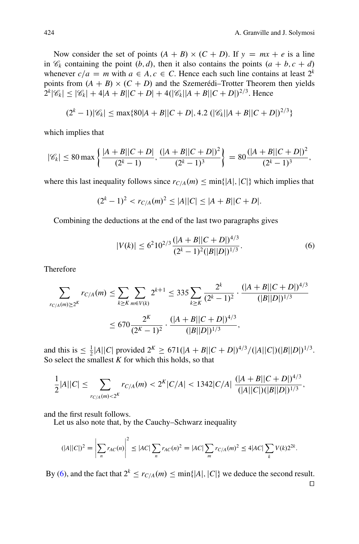Now consider the set of points  $(A + B) \times (C + D)$ . If  $y = mx + e$  is a line in  $\mathcal{C}_k$  containing the point  $(b, d)$ , then it also contains the points  $(a + b, c + d)$ whenever  $c/a = m$  with  $a \in A, c \in C$ . Hence each such line contains at least  $2^k$ points from  $(A + B) \times (C + D)$  and the Szemerédi–Trotter Theorem then yields  $2^{k}|\mathscr{C}_{k}| \leq |\mathscr{C}_{k}| + 4|A + B||C + D| + 4(|\mathscr{C}_{k}||A + B||C + D|)^{2/3}$ . Hence

$$
(2k - 1)|\mathscr{C}_k| \le \max\{80|A + B||C + D|, 4.2\left(|\mathscr{C}_k||A + B||C + D|\right)^{2/3}\}
$$

which implies that

$$
|\mathscr{C}_k| \le 80 \max \left\{ \frac{|A+B||C+D|}{(2^k-1)}, \frac{(|A+B||C+D|)^2}{(2^k-1)^3} \right\} = 80 \frac{(|A+B||C+D|)^2}{(2^k-1)^3},
$$

where this last inequality follows since  $r_{C/A}(m) \le \min\{|A|, |C|\}$  which implies that

$$
(2k - 1)2 < rC/A(m)2 \le |A||C| \le |A + B||C + D|.
$$

Combining the deductions at the end of the last two paragraphs gives

<span id="page-5-0"></span>
$$
|V(k)| \le 6^2 10^{2/3} \frac{(|A+B||C+D|)^{4/3}}{(2^k-1)^2 (|B||D|)^{1/3}}.
$$
 (6)

Therefore

$$
\sum_{r_{C/A}(m)\geq 2^{K}} r_{C/A}(m) \leq \sum_{k\geq K} \sum_{m\in V(k)} 2^{k+1} \leq 335 \sum_{k\geq K} \frac{2^{k}}{(2^{k}-1)^{2}} \cdot \frac{(|A+B||C+D|)^{4/3}}{(|B||D|)^{1/3}}
$$

$$
\leq 670 \frac{2^{K}}{(2^{K}-1)^{2}} \cdot \frac{(|A+B||C+D|)^{4/3}}{(|B||D|)^{1/3}},
$$

and this is  $\leq \frac{1}{2}|A||C|$  provided  $2^{K} \geq 671(|A+B||C+D|)^{4/3}/(|A||C|)(|B||D|)^{1/3}$ . So select the smallest  $K$  for which this holds, so that

$$
\frac{1}{2}|A||C| \leq \sum_{r_{C/A}(m) < 2^K} \frac{r_{C/A}(m) < 2^K|C/A| < 1342|C/A|}{(|A||C|)(|B||D|)^{1/3}},
$$

and the first result follows.

Let us also note that, by the Cauchy–Schwarz inequality

$$
(|A||C|)^{2} = \left| \sum_{n} r_{AC}(n) \right|^{2} \leq |AC| \sum_{n} r_{AC}(n)^{2} = |AC| \sum_{m} r_{C/A}(m)^{2} \leq 4|AC| \sum_{k} V(k)2^{2k}.
$$

By [\(6\)](#page-5-0), and the fact that  $2^k \le r_{C/A}(m) \le \min\{|A|, |C|\}$  we deduce the second result.  $\Box$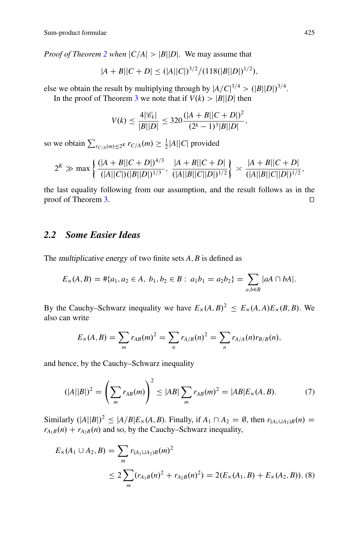*Proof of Theorem [2](#page-3-0) when*  $|C/A| > |B||D|$ . We may assume that

$$
|A + B||C + D| \le (|A||C|)^{3/2}/(118(|B||D|)^{1/2}),
$$

else we obtain the result by multiplying through by  $|A/C|^{3/4}$  >  $(|B||D|)^{3/4}$ . In the proof of Theorem [3](#page-4-0) we note that if  $V(k) > |B||D|$  then

$$
V(k) \le \frac{4|\mathscr{C}_k|}{|B||D|} \le 320 \frac{(|A+B||C+D|)^2}{(2^k-1)^3|B||D|},
$$

so we obtain  $\sum_{r \in A} (m) \le 2^k r \cdot r^2 / A(m) \ge \frac{1}{2} |A| |C|$  provided

$$
2^K \gg \max\left\{\frac{(|A+B||C+D|)^{4/3}}{(|A||C|)(|B||D|)^{1/3}}, \frac{|A+B||C+D|}{(|A||B||C||D|)^{1/2}}\right\} \asymp \frac{|A+B||C+D|}{(|A||B||C||D|)^{1/2}},
$$

the last equality following from our assumption, and the result follows as in the proof of Theorem [3.](#page-4-0)  $\Box$ 

## *2.2 Some Easier Ideas*

The multiplicative energy of two finite sets *A*; *B* is defined as

$$
E_{\times}(A, B) = #\{a_1, a_2 \in A, b_1, b_2 \in B : a_1b_1 = a_2b_2\} = \sum_{a,b \in B} |aA \cap bA|.
$$

By the Cauchy–Schwarz inequality we have  $E_x(A, B)^2 \le E_x(A, A)E_x(B, B)$ . We also can write

$$
E_{\times}(A,B) = \sum_{m} r_{AB}(m)^{2} = \sum_{n} r_{A/B}(n)^{2} = \sum_{n} r_{A/A}(n) r_{B/B}(n),
$$

and hence, by the Cauchy–Schwarz inequality

<span id="page-6-0"></span>
$$
(|A||B|)^{2} = \left(\sum_{m} r_{AB}(m)\right)^{2} \le |AB| \sum_{m} r_{AB}(m)^{2} = |AB|E_{\times}(A,B). \tag{7}
$$

Similarly  $(|A||B|)^2 \le |A/B|E_x(A, B)$ . Finally, if  $A_1 \cap A_2 = \emptyset$ , then  $r_{(A_1 \cup A_2)B}(n) =$  $r_{A_1B}(n) + r_{A_2B}(n)$  and so, by the Cauchy–Schwarz inequality,

<span id="page-6-1"></span>
$$
E_{\times}(A_1 \cup A_2, B) = \sum_{m} r_{(A_1 \cup A_2)B}(m)^2
$$
  
\n
$$
\leq 2 \sum_{m} (r_{A_1B}(n)^2 + r_{A_2B}(n)^2) = 2(E_{\times}(A_1, B) + E_{\times}(A_2, B)).
$$
 (8)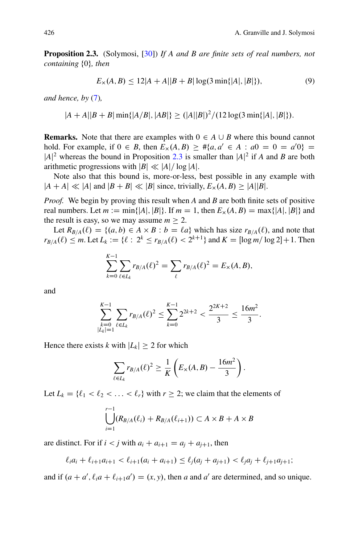**Proposition 2.3.** (Solymosi, [\[30\]](#page-32-4)) *If A and B are finite sets of real numbers, not containing* f0g*, then*

<span id="page-7-1"></span><span id="page-7-0"></span>
$$
E_{\times}(A, B) \le 12|A + A||B + B|\log(3\min\{|A|, |B|\}),\tag{9}
$$

*and hence, by* [\(7\)](#page-6-0)*,*

$$
|A + A||B + B| \min\{|A/B|, |AB|\} \ge (|A||B|)^2 / (12 \log(3 \min\{|A|, |B|\}).
$$

**Remarks.** Note that there are examples with  $0 \in A \cup B$  where this bound cannot hold. For example, if  $0 \in B$ , then  $E_x(A, B) \geq #{a, a' \in A : a0 = 0 = a'0} =$  $|A|^2$  whereas the bound in Proposition [2.3](#page-7-0) is smaller than  $|A|^2$  if *A* and *B* are both arithmetic progressions with  $|B| \ll |A| / \log |A|$ .

Note also that this bound is, more-or-less, best possible in any example with  $|A + A| \ll |A|$  and  $|B + B| \ll |B|$  since, trivially,  $E_{\times}(A, B) \ge |A||B|$ .

*Proof.* We begin by proving this result when *A* and *B* are both finite sets of positive real numbers. Let  $m := min\{|A|, |B|\}$ . If  $m = 1$ , then  $E_{\times}(A, B) = max\{|A|, |B|\}$  and the result is easy, so we may assume  $m > 2$ .

Let  $R_{B/A}(\ell) = \{(a, b) \in A \times B : b = \ell a\}$  which has size  $r_{B/A}(\ell)$ , and note that  $r_{B/A}(\ell) \leq m$ . Let  $L_k := \{ \ell : 2^k \leq r_{B/A}(\ell) < 2^{k+1} \}$  and  $K = \lfloor \log m / \log 2 \rfloor + 1$ . Then

$$
\sum_{k=0}^{K-1} \sum_{\ell \in L_k} r_{B/A}(\ell)^2 = \sum_{\ell} r_{B/A}(\ell)^2 = E_{\times}(A, B),
$$

and

$$
\sum_{\substack{k=0\\|L_k|=1}}^{K-1} \sum_{\ell \in L_k} r_{B/A}(\ell)^2 \leq \sum_{k=0}^{K-1} 2^{2k+2} < \frac{2^{2K+2}}{3} \leq \frac{16m^2}{3}.
$$

Hence there exists *k* with  $|L_k| \geq 2$  for which

$$
\sum_{\ell \in L_k} r_{B/A}(\ell)^2 \geq \frac{1}{K} \left( E_{\times}(A, B) - \frac{16m^2}{3} \right).
$$

Let  $L_k = \{ \ell_1 < \ell_2 < \ldots < \ell_r \}$  with  $r \geq 2$ ; we claim that the elements of

$$
\bigcup_{i=1}^{r-1} (R_{B/A}(\ell_i) + R_{B/A}(\ell_{i+1})) \subset A \times B + A \times B
$$

are distinct. For if  $i < j$  with  $a_i + a_{i+1} = a_i + a_{i+1}$ , then

$$
\ell_i a_i + \ell_{i+1} a_{i+1} < \ell_{i+1} (a_i + a_{i+1}) \leq \ell_j (a_j + a_{j+1}) < \ell_j a_j + \ell_{j+1} a_{j+1};
$$

and if  $(a + a', \ell_i a + \ell_{i+1} a') = (x, y)$ , then *a* and *a'* are determined, and so unique.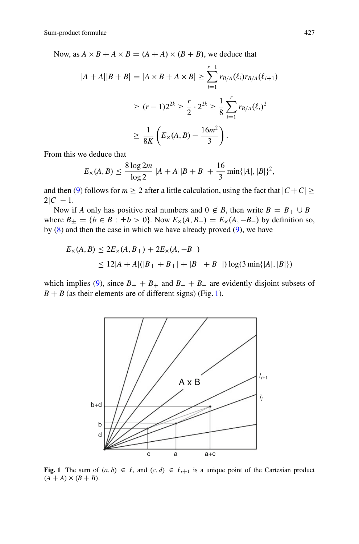Now, as  $A \times B + A \times B = (A + A) \times (B + B)$ , we deduce that

$$
|A + A||B + B| = |A \times B + A \times B| \ge \sum_{i=1}^{r-1} r_{B/A}(\ell_i) r_{B/A}(\ell_{i+1})
$$
  

$$
\ge (r-1)2^{2k} \ge \frac{r}{2} \cdot 2^{2k} \ge \frac{1}{8} \sum_{i=1}^{r} r_{B/A}(\ell_i)^2
$$
  

$$
\ge \frac{1}{8K} \left( E_{\times}(A, B) - \frac{16m^2}{3} \right).
$$

From this we deduce that

$$
E_{\times}(A,B) \le \frac{8 \log 2m}{\log 2} |A+A||B+B| + \frac{16}{3} \min\{|A|, |B|\}^{2},
$$

and then [\(9\)](#page-7-1) follows for  $m \geq 2$  after a little calculation, using the fact that  $|C + C| \geq$  $2|C| - 1.$ 

Now if *A* only has positive real numbers and  $0 \notin B$ , then write  $B = B_+ \cup B_-$ <br>ora  $B_+ = (b \in B_+ + b > 0)$ . Now  $F_+ (A_+ B_-) = F_+ (A_- B_-)$  by definition so where  $B_{\pm} = \{b \in B : \pm b > 0\}$ . Now  $E_{\times}(A, B_{-}) = E_{\times}(A, -B_{-})$  by definition so, by  $(8)$  and then the case in which we have already proved  $(9)$ , we have

$$
E_{\times}(A, B) \le 2E_{\times}(A, B_{+}) + 2E_{\times}(A, -B_{-})
$$
  
\n
$$
\le 12|A + A|(|B_{+} + B_{+}| + |B_{-} + B_{-}|) \log(3 \min\{|A|, |B|\})
$$

which implies [\(9\)](#page-7-1), since  $B_+ + B_+$  and  $B_- + B_-$  are evidently disjoint subsets of  $B + B$  (as their elements are of different signs) (Fig. [1\)](#page-8-0).



<span id="page-8-0"></span>**Fig. 1** The sum of  $(a, b) \in \ell_i$  and  $(c, d) \in \ell_{i+1}$  is a unique point of the Cartesian product  $(A + A) \times (B + B)$ .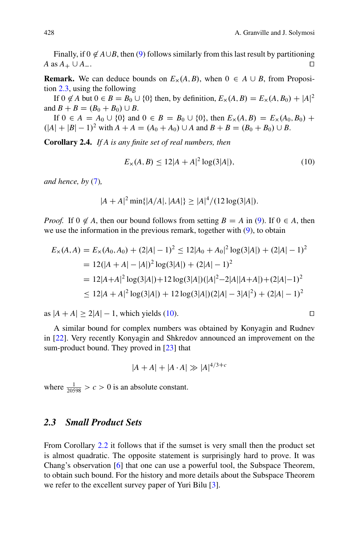Finally, if  $0 \notin A \cup B$ , then [\(9\)](#page-7-1) follows similarly from this last result by partitioning *A* as  $A_+ \cup A_-$ . . The contract of the contract of the contract of the contract of  $\Box$ 

**Remark.** We can deduce bounds on  $E_x(A, B)$ , when  $0 \in A \cup B$ , from Proposition [2.3,](#page-7-0) using the following

If  $0 \notin A$  but  $0 \in B = B_0 \cup \{0\}$  then, by definition,  $E_\times(A, B) = E_\times(A, B_0) + |A|^2$ <br>  $B \cup B = (B_0 + B_1) + B_2$ and  $B + B = (B_0 + B_0) \cup B$ .

If  $0 \in A = A_0 \cup \{0\}$  and  $0 \in B = B_0 \cup \{0\}$ , then  $E_\times(A, B) = E_\times(A_0, B_0) +$  $(A|+|B|-1)^2$  with  $A+A=(A_0+A_0)\cup A$  and  $B+B=(B_0+B_0)\cup B$ .

**Corollary 2.4.** *If A is any finite set of real numbers, then*

<span id="page-9-0"></span>
$$
E_{\times}(A,B) \le 12|A+A|^2 \log(3|A|), \tag{10}
$$

*and hence, by* [\(7\)](#page-6-0)*,*

$$
|A + A|^2 \min\{|A/A|, |AA|\} \ge |A|^4 / (12 \log(3|A|).
$$

*Proof.* If  $0 \notin A$ , then our bound follows from setting  $B = A$  in [\(9\)](#page-7-1). If  $0 \in A$ , then we use the information in the previous remark, together with  $(9)$ , to obtain

$$
E_{\times}(A, A) = E_{\times}(A_0, A_0) + (2|A| - 1)^2 \le 12|A_0 + A_0|^2 \log(3|A|) + (2|A| - 1)^2
$$
  
= 12(|A + A| - |A|)^2 \log(3|A|) + (2|A| - 1)^2  
= 12|A + A|^2 \log(3|A|) + 12 \log(3|A|)(|A|^2 - 2|A||A + A|) + (2|A| - 1)^2  

$$
\le 12|A + A|^2 \log(3|A|) + 12 \log(3|A|)(2|A| - 3|A|^2) + (2|A| - 1)^2
$$

as  $|A + A| \ge 2|A| - 1$ , which yields [\(10\)](#page-9-0).

A similar bound for complex numbers was obtained by Konyagin and Rudnev in [\[22\]](#page-32-5). Very recently Konyagin and Shkredov announced an improvement on the sum-product bound. They proved in [\[23\]](#page-32-6) that

$$
|A + A| + |A \cdot A| \gg |A|^{4/3 + c}
$$

where  $\frac{1}{20598} > c > 0$  is an absolute constant.

#### *2.3 Small Product Sets*

From Corollary [2.2](#page-4-1) it follows that if the sumset is very small then the product set is almost quadratic. The opposite statement is surprisingly hard to prove. It was Chang's observation [\[6\]](#page-31-1) that one can use a powerful tool, the Subspace Theorem, to obtain such bound. For the history and more details about the Subspace Theorem we refer to the excellent survey paper of Yuri Bilu [\[3\]](#page-31-2).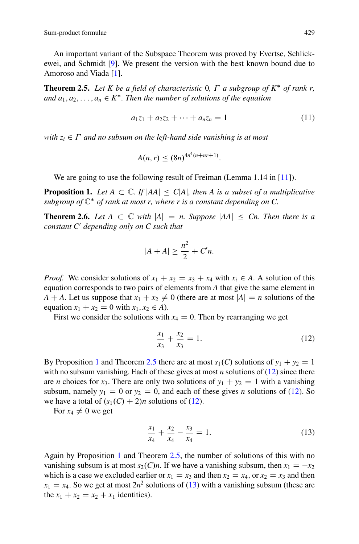An important variant of the Subspace Theorem was proved by Evertse, Schlickewei, and Schmidt [\[9\]](#page-31-3). We present the version with the best known bound due to Amoroso and Viada [\[1\]](#page-31-4).

<span id="page-10-1"></span>**Theorem 2.5.** Let K be a field of characteristic 0,  $\Gamma$  a subgroup of  $K^*$  of rank r, *and*  $a_1, a_2, \ldots, a_n \in K^*$ . *Then the number of solutions of the equation* 

$$
a_1z_1 + a_2z_2 + \dots + a_nz_n = 1 \tag{11}
$$

*with*  $z_i \in \Gamma$  *and no subsum on the left-hand side vanishing is at most* 

$$
A(n,r) \leq (8n)^{4n^4(n+nr+1)}.
$$

<span id="page-10-0"></span>We are going to use the following result of Freiman (Lemma 1.14 in [\[11\]](#page-32-7)).

**Proposition 1.** Let  $A \subset \mathbb{C}$ . If  $|AA| \leq C|A|$ , then A is a subset of a multiplicative *subgroup of*  $\mathbb{C}^*$  *of rank at most r, where r is a constant depending on C.* 

**Theorem 2.6.** *Let*  $A \subset \mathbb{C}$  *with*  $|A| = n$ . Suppose  $|AA| \leq Cn$ . Then there is a *constant C*<sup>0</sup> *depending only on C such that*

$$
|A+A| \geq \frac{n^2}{2} + C'n.
$$

*Proof.* We consider solutions of  $x_1 + x_2 = x_3 + x_4$  with  $x_i \in A$ . A solution of this equation corresponds to two pairs of elements from *A* that give the same element in  $A + A$ . Let us suppose that  $x_1 + x_2 \neq 0$  (there are at most  $|A| = n$  solutions of the equation  $x_1 + x_2 = 0$  with  $x_1, x_2 \in A$ ).

First we consider the solutions with  $x_4 = 0$ . Then by rearranging we get

<span id="page-10-2"></span>
$$
\frac{x_1}{x_3} + \frac{x_2}{x_3} = 1.
$$
 (12)

By Proposition [1](#page-10-0) and Theorem [2.5](#page-10-1) there are at most  $s_1(C)$  solutions of  $y_1 + y_2 = 1$ with no subsum vanishing. Each of these gives at most *n* solutions of [\(12\)](#page-10-2) since there are *n* choices for  $x_3$ . There are only two solutions of  $y_1 + y_2 = 1$  with a vanishing subsum, namely  $y_1 = 0$  or  $y_2 = 0$ , and each of these gives *n* solutions of [\(12\)](#page-10-2). So we have a total of  $(s_1(C) + 2)n$  solutions of [\(12\)](#page-10-2).

For  $x_4 \neq 0$  we get

<span id="page-10-3"></span>
$$
\frac{x_1}{x_4} + \frac{x_2}{x_4} - \frac{x_3}{x_4} = 1.
$$
 (13)

Again by Proposition [1](#page-10-0) and Theorem [2.5,](#page-10-1) the number of solutions of this with no vanishing subsum is at most  $s_2(C)n$ . If we have a vanishing subsum, then  $x_1 = -x_2$ which is a case we excluded earlier or  $x_1 = x_3$  and then  $x_2 = x_4$ , or  $x_2 = x_3$  and then  $x_1 = x_4$ . So we get at most  $2n^2$  solutions of [\(13\)](#page-10-3) with a vanishing subsum (these are the  $x_1 + x_2 = x_2 + x_1$  identities).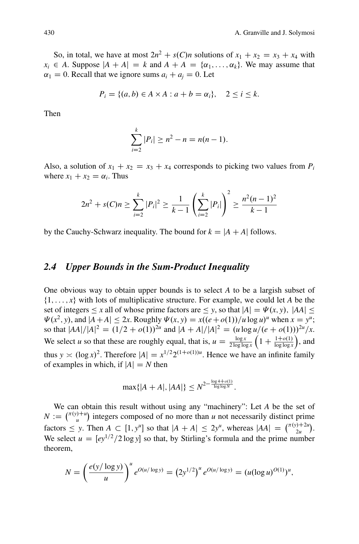So, in total, we have at most  $2n^2 + s(C)n$  solutions of  $x_1 + x_2 = x_3 + x_4$  with  $x_i \in A$ . Suppose  $|A + A| = k$  and  $A + A = \{\alpha_1, \dots, \alpha_k\}$ . We may assume that  $\alpha_1 = 0$ . Recall that we ignore sums  $a_i + a_j = 0$ . Let

$$
P_i = \{(a, b) \in A \times A : a + b = \alpha_i\}, \quad 2 \le i \le k.
$$

Then

$$
\sum_{i=2}^{k} |P_i| \ge n^2 - n = n(n-1).
$$

Also, a solution of  $x_1 + x_2 = x_3 + x_4$  corresponds to picking two values from  $P_i$ where  $x_1 + x_2 = \alpha_i$ . Thus

$$
2n^2 + s(C)n \ge \sum_{i=2}^k |P_i|^2 \ge \frac{1}{k-1} \left(\sum_{i=2}^k |P_i|\right)^2 \ge \frac{n^2(n-1)^2}{k-1}
$$

by the Cauchy-Schwarz inequality. The bound for  $k = |A + A|$  follows.

#### *2.4 Upper Bounds in the Sum-Product Inequality*

One obvious way to obtain upper bounds is to select *A* to be a largish subset of  $\{1, \ldots, x\}$  with lots of multiplicative structure. For example, we could let *A* be the set of integers  $\leq x$  all of whose prime factors are  $\leq y$ , so that  $|A| = \Psi(x, y)$ ,  $|AA| \leq$  $\Psi(x^2, y)$ , and  $|A + A| \leq 2x$ . Roughly  $\Psi(x, y) = x((e + o(1))/u \log u)^u$  when  $x = y^u$ ; so that  $|AA|/|A|^2 = (1/2 + o(1))^{2u}$  and  $|A + A|/|A|^2 = (u \log u/(e + o(1)))^{2u}/x$ . We select *u* so that these are roughly equal, that is,  $u = \frac{\log x}{2 \log \log x} \left( 1 + \frac{1 + o(1)}{\log \log x} \right)$ , and thus  $y \approx (\log x)^2$ . Therefore  $|A| = x^{1/2} 2^{(1+o(1))u}$ . Hence we have an infinite family of examples in which, if  $|A| = N$  then

$$
\max\{|A+A|, |AA|\} \leq N^{2 - \frac{\log 4 + o(1)}{\log \log N}}.
$$

We can obtain this result without using any "machinery": Let *A* be the set of  $N := \binom{\pi(y)+u}{u}$  integers composed of no more than *u* not necessarily distinct prime factors  $\leq$  *y*. Then  $A \subset [1, y^u]$  so that  $|A + A| \leq 2y^u$ , whereas  $|AA| = \binom{\pi(y)+2u}{2u}$ . We select  $u = [ey^{1/2}/2 \log y]$  so that, by Stirling's formula and the prime number theorem,

$$
N = \left(\frac{e(y/\log y)}{u}\right)^u e^{O(u/\log y)} = (2y^{1/2})^u e^{O(u/\log y)} = (u(\log u)^{O(1)})^u,
$$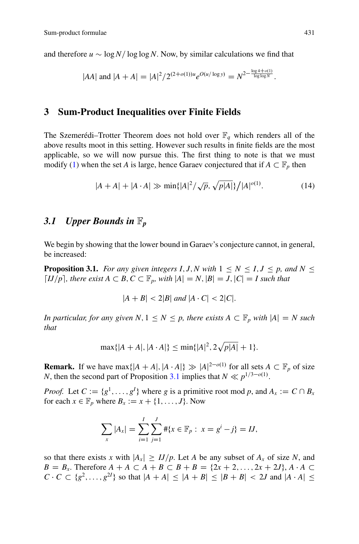and therefore  $u \sim \log N / \log \log N$ . Now, by similar calculations we find that

$$
|AA|
$$
 and  $|A + A| = |A|^2 / 2^{(2+o(1))u} e^{O(u/\log y)} = N^{2 - \frac{\log 4 + o(1)}{\log \log N}}$ .

#### **3 Sum-Product Inequalities over Finite Fields**

The Szemerédi–Trotter Theorem does not hold over  $\mathbb{F}_q$  which renders all of the above results moot in this setting. However such results in finite fields are the most applicable, so we will now pursue this. The first thing to note is that we must modify [\(1\)](#page-1-3) when the set *A* is large, hence Garaev conjectured that if  $A \subset \mathbb{F}_p$  then

$$
|A + A| + |A \cdot A| \gg \min\{|A|^2 / \sqrt{p}, \sqrt{p|A|}\} / |A|^{o(1)}.
$$
 (14)

# *3.1 Upper Bounds in* F*<sup>p</sup>*

We begin by showing that the lower bound in Garaev's conjecture cannot, in general, be increased:

**Proposition 3.1.** *For any given integers I, J, N with*  $1 \leq N \leq I, J \leq p$ , and  $N \leq I$  $\lceil IJ/p \rceil$ , there exist  $A \subset B$ ,  $C \subset \mathbb{F}_p$ , with  $|A| = N$ ,  $|B| = J$ ,  $|C| = I$  such that

<span id="page-12-0"></span>
$$
|A + B| < 2|B| \text{ and } |A \cdot C| < 2|C|.
$$

*In particular, for any given*  $N, 1 \leq N \leq p$ , there exists  $A \subset \mathbb{F}_p$  with  $|A| = N$  such *that*

$$
\max\{|A+A|, |A\cdot A|\} \le \min\{|A|^2, 2\sqrt{p|A|} + 1\}.
$$

**Remark.** If we have  $\max\{|A + A|, |A \cdot A|\} \gg |A|^{2-o(1)}$  for all sets  $A \subset \mathbb{F}_p$  of size *N*, then the second part of Proposition [3.1](#page-12-0) implies that  $N \ll p^{1/3 - o(1)}$ .

*Proof.* Let  $C := \{g^1, \ldots, g^I\}$  where *g* is a primitive root mod *p*, and  $A_x := C \cap B_x$ for each  $x \in \mathbb{F}_p$  where  $B_x := x + \{1, \ldots, J\}$ . Now

$$
\sum_{x} |A_x| = \sum_{i=1}^{I} \sum_{j=1}^{J} \# \{ x \in \mathbb{F}_p : x = g^i - j \} = IJ,
$$

so that there exists *x* with  $|A_x| \geq IJ/p$ . Let *A* be any subset of  $A_x$  of size *N*, and *B* = *B<sub>x</sub>*. Therefore *A* + *A*  $\subset$  *A* + *B*  $\subset$  *B* + *B* = {2*x* + 2*, . . . ,* 2*x* + 2*J*}, *A*  $\cdot$  *A*  $\subset$  $C \cdot C \subset \{g^2, \ldots, g^{2l}\}\$  so that  $|A + A| \leq |A + B| \leq |B + B| < 2J$  and  $|A \cdot A| \leq$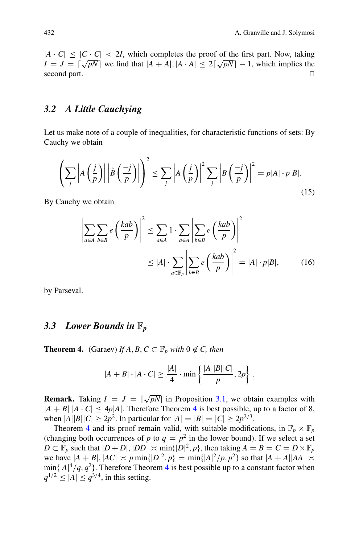$|A \cdot C| \leq |C \cdot C|$  < 2*I*, which completes the proof of the first part. Now, taking  $I = J = \sqrt{\sqrt{pN}}$  we find that  $|A + A|, |A \cdot A| \le 2\sqrt{\sqrt{pN}} - 1$ , which implies the second part.  $\Box$ 

## *3.2 A Little Cauchying*

Let us make note of a couple of inequalities, for characteristic functions of sets: By Cauchy we obtain

<span id="page-13-1"></span>
$$
\left(\sum_{j} \left| A\left(\frac{j}{p}\right) \right| \left| \hat{B}\left(\frac{-j}{p}\right) \right| \right)^{2} \leq \sum_{j} \left| A\left(\frac{j}{p}\right) \right|^{2} \sum_{j} \left| B\left(\frac{-j}{p}\right) \right|^{2} = p|A| \cdot p|B|.
$$
\n(15)

By Cauchy we obtain

<span id="page-13-2"></span>
$$
\left| \sum_{a \in A} \sum_{b \in B} e\left(\frac{kab}{p}\right) \right|^2 \le \sum_{a \in A} 1 \cdot \sum_{a \in A} \left| \sum_{b \in B} e\left(\frac{kab}{p}\right) \right|^2
$$
  
 
$$
\le |A| \cdot \sum_{a \in \mathbb{F}_p} \left| \sum_{b \in B} e\left(\frac{kab}{p}\right) \right|^2 = |A| \cdot p|B|, \qquad (16)
$$

by Parseval.

#### *3.3 Lower Bounds in* F*<sup>p</sup>*

**Theorem 4.** (Garaev) *If A, B, C*  $\subset \mathbb{F}_p$  *with* 0  $\notin$  *C, then* 

<span id="page-13-0"></span>
$$
|A + B| \cdot |A \cdot C| \ge \frac{|A|}{4} \cdot \min\left\{\frac{|A||B||C|}{p}, 2p\right\}.
$$

**Remark.** Taking  $I = J = [\sqrt{pN}]$  in Proposition [3.1,](#page-12-0) we obtain examples with  $|A + B|$   $|A \cdot C| \le 4p|A|$  $|A \cdot C| \le 4p|A|$  $|A \cdot C| \le 4p|A|$ . Therefore Theorem 4 is best possible, up to a factor of 8, when  $|A||B||C| \ge 2p^2$ . In particular for  $|A| = |B| = |C| \ge 2p^{2/3}$ .

Theorem [4](#page-13-0) and its proof remain valid, with suitable modifications, in  $\mathbb{F}_p \times \mathbb{F}_p$ (changing both occurrences of *p* to  $q = p^2$  in the lower bound). If we select a set  $D \subset \mathbb{F}_p$  such that  $|D + D|$ ,  $|DD| \asymp \min\{|D|^2, p\}$ , then taking  $A = B = C = D \times \mathbb{F}_p$ we have  $|A + B|, |AC| \asymp p \min\{|D|^2, p\} = \min\{|A|^2/p, p^2\}$  so that  $|A + A||AA| \asymp$  $\min\{|A|^4/q, q^2\}$  $\min\{|A|^4/q, q^2\}$  $\min\{|A|^4/q, q^2\}$ . Therefore Theorem 4 is best possible up to a constant factor when  $q^{1/2} \leq |A| \leq q^{3/4}$ , in this setting.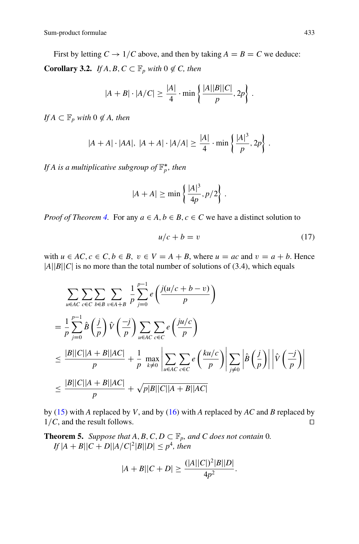First by letting  $C \rightarrow 1/C$  above, and then by taking  $A = B = C$  we deduce: **Corollary 3.2.** *If A, B, C*  $\subset \mathbb{F}_p$  *with* 0  $\notin$  *C, then* 

<span id="page-14-0"></span>
$$
|A + B| \cdot |A/C| \ge \frac{|A|}{4} \cdot \min\left\{\frac{|A||B||C|}{p}, 2p\right\}.
$$

*If*  $A \subset \mathbb{F}_p$  *with*  $0 \notin A$ *, then* 

$$
|A + A| \cdot |AA|, |A + A| \cdot |A/A| \ge \frac{|A|}{4} \cdot \min\left\{\frac{|A|^3}{p}, 2p\right\}.
$$

If A is a multiplicative subgroup of  $\mathbb{F}_p^*$ , then

$$
|A + A| \ge \min\left\{\frac{|A|^3}{4p}, p/2\right\}.
$$

*Proof of Theorem [4.](#page-13-0)* For any  $a \in A, b \in B, c \in C$  we have a distinct solution to

$$
u/c + b = v \tag{17}
$$

with  $u \in AC$ ,  $c \in C$ ,  $b \in B$ ,  $v \in V = A + B$ , where  $u = ac$  and  $v = a + b$ . Hence  $|A||B||C|$  is no more than the total number of solutions of (3.4), which equals

$$
\sum_{u \in AC} \sum_{c \in C} \sum_{b \in B} \sum_{v \in A+B} \frac{1}{p} \sum_{j=0}^{p-1} e\left(\frac{j(u/c + b - v)}{p}\right)
$$
\n
$$
= \frac{1}{p} \sum_{j=0}^{p-1} \hat{B}\left(\frac{j}{p}\right) \hat{V}\left(\frac{-j}{p}\right) \sum_{u \in AC} \sum_{c \in C} e\left(\frac{ju/c}{p}\right)
$$
\n
$$
\leq \frac{|B||C||A + B||AC|}{p} + \frac{1}{p} \max_{k \neq 0} \left| \sum_{u \in AC} \sum_{c \in C} e\left(\frac{ku/c}{p}\right) \right| \sum_{j \neq 0} \left|\hat{B}\left(\frac{j}{p}\right)\right| \left|\hat{V}\left(\frac{-j}{p}\right)\right|
$$
\n
$$
\leq \frac{|B||C||A + B||AC|}{p} + \sqrt{p|B||C||A + B||AC|}
$$

by [\(15\)](#page-13-1) with *A* replaced by *V*, and by [\(16\)](#page-13-2) with *A* replaced by *AC* and *B* replaced by  $1/C$ , and the result follows.

<span id="page-14-1"></span>**Theorem 5.** *Suppose that*  $A, B, C, D \subset \mathbb{F}_p$ *, and*  $C$  *does not contain* 0*.*  $\int |A + B||C + D||A/C|^2|B||D| \leq p^4$ , then

$$
|A + B||C + D| \ge \frac{(|A||C|)^2|B||D|}{4p^2}.
$$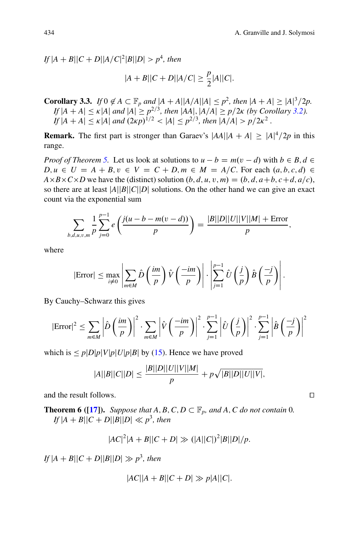$\int f[A + B ||C + D||A/C|^2|B||D| > p^4$ , then

$$
|A + B||C + D||A/C| \ge \frac{p}{2}|A||C|.
$$

**Corollary 3.3.** *If*  $0 \notin A \subseteq \mathbb{F}_p$  *and*  $|A + A||A/A||A| \leq p^2$ , *then*  $|A + A| \geq |A|^3/2p$ . *If*  $|A + A| \le \kappa |A|$  *and*  $|A| \ge p^{2/3}$ *, then*  $|AA|$ *,*  $|A/A| \ge p/2\kappa$  *(by Corollary [3.2\)](#page-14-0).*  $I_f |A + A| \le \kappa |A|$  and  $(2\kappa p)^{1/2} \le |A| \le p^{2/3}$ , then  $|A/A| > p/2\kappa^2$ .

**Remark.** The first part is stronger than Garaev's  $|AA||A + A| \geq |A|^4/2p$  in this range.

*Proof of Theorem [5.](#page-14-1)* Let us look at solutions to  $u - b = m(v - d)$  with  $b \in B, d \in \mathbb{R}$  $D, u \in U = A + B, v \in V = C + D, m \in M = A/C$ . For each  $(a, b, c, d) \in$  $A \times B \times C \times D$  we have the (distinct) solution  $(b, d, u, v, m) = (b, d, a+b, c+d, a/c)$ , so there are at least  $|A||B||C||D|$  solutions. On the other hand we can give an exact count via the exponential sum

$$
\sum_{b,d,u,v,m} \frac{1}{p} \sum_{j=0}^{p-1} e\left(\frac{j(u-b-m(v-d))}{p}\right) = \frac{|B||D||U||V||M| + \text{Error}}{p},
$$

where

$$
|\text{Error}| \leq \max_{i \neq 0} \left| \sum_{m \in M} \hat{D} \left( \frac{im}{p} \right) \hat{V} \left( \frac{-im}{p} \right) \right| \cdot \left| \sum_{j=1}^{p-1} \hat{U} \left( \frac{j}{p} \right) \hat{B} \left( \frac{-j}{p} \right) \right|.
$$

By Cauchy–Schwarz this gives

$$
|\text{Error}|^2 \leq \sum_{m \in M} \left| \hat{D} \left( \frac{im}{p} \right) \right|^2 \cdot \sum_{m \in M} \left| \hat{V} \left( \frac{-im}{p} \right) \right|^2 \cdot \sum_{j=1}^{p-1} \left| \hat{U} \left( \frac{j}{p} \right) \right|^2 \cdot \sum_{j=1}^{p-1} \left| \hat{B} \left( \frac{-j}{p} \right) \right|^2
$$

which is  $\leq p|D|p|V|p|U|p|B|$  by [\(15\)](#page-13-1). Hence we have proved

$$
|A||B||C||D| \le \frac{|B||D||U||V||M|}{p} + p\sqrt{|B||D||U||V|},
$$

and the result follows.  $\Box$ 

**Theorem 6 ([\[17\]](#page-32-8)).** *Suppose that*  $A, B, C, D \subset \mathbb{F}_p$ *, and*  $A, C$  *do not contain* 0*.*  $I f |A + B||C + D||B||D| \ll p^3$ , then

$$
|AC|^2|A + B||C + D| \gg (|A||C|)^2|B||D|/p.
$$

 $I f |A + B||C + D||B||D| \gg p^3$ , then

$$
|AC||A + B||C + D| \gg p|A||C|.
$$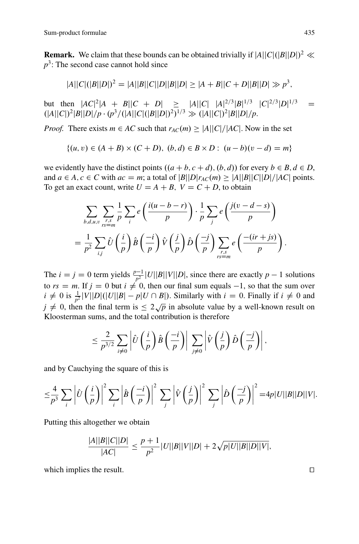**Remark.** We claim that these bounds can be obtained trivially if  $|A||C|(|B||D|)^2 \ll$ *p*<sup>3</sup>: The second case cannot hold since

$$
|A||C|(|B||D|)^{2} = |A||B||C||D||B||D| \ge |A + B||C + D||B||D| \gg p^{3},
$$

but then  $|AC|^2|A + B||C + D| \ge |A||C| |A|^{2/3}|B|^{1/3} |C|^{2/3}|D|^{1/3} =$  $(|A||C|)^2|B||D|/p \cdot (p^3/(|A||C|(|B||D|)^2)^{1/3} \gg (|A||C|)^2|B||D|/p.$ 

*Proof.* There exists  $m \in AC$  such that  $r_{AC}(m) \ge |A||C|/|AC|$ . Now in the set

$$
\{(u, v) \in (A + B) \times (C + D), (b, d) \in B \times D : (u - b)(v - d) = m\}
$$

we evidently have the distinct points  $((a + b, c + d), (b, d))$  for every  $b \in B, d \in D$ , and  $a \in A, c \in C$  with  $ac = m$ ; a total of  $|B||D|r_{AC}(m) \ge |A||B||C||D|/|AC|$  points. To get an exact count, write  $U = A + B$ ,  $V = C + D$ , to obtain

$$
\sum_{b,d,u,v} \sum_{\substack{r,s \ r \equiv m}} \frac{1}{p} \sum_{i} e\left(\frac{i(u-b-r)}{p}\right) \cdot \frac{1}{p} \sum_{j} e\left(\frac{j(v-d-s)}{p}\right)
$$

$$
= \frac{1}{p^2} \sum_{i,j} \hat{U}\left(\frac{i}{p}\right) \hat{B}\left(\frac{-i}{p}\right) \hat{V}\left(\frac{j}{p}\right) \hat{D}\left(\frac{-j}{p}\right) \sum_{\substack{r,s \ r \equiv m}} e\left(\frac{-(ir+js)}{p}\right).
$$

The  $i = j = 0$  term yields  $\frac{p-1}{p^2}$  *U*||*B*||*V*||*D*|, since there are exactly *p* - 1 solutions to  $rs = m$ . If  $j = 0$  but  $i \neq 0$ , then our final sum equals  $-1$ , so that the sum over  $i \neq 0$  is  $\frac{1}{p^2} |V||D|(|U||B| - p|U \cap B|)$ . Similarly with  $i = 0$ . Finally if  $i \neq 0$  and  $j \neq 0$ , then the final term is  $\leq 2\sqrt{p}$  in absolute value by a well-known result on Kloosterman sums, and the total contribution is therefore

$$
\leq \frac{2}{p^{3/2}}\sum_{i\neq 0}\left|\hat{U}\left(\frac{i}{p}\right)\hat{B}\left(\frac{-i}{p}\right)\right|\sum_{j\neq 0}\left|\hat{V}\left(\frac{j}{p}\right)\hat{D}\left(\frac{-j}{p}\right)\right|,
$$

and by Cauchying the square of this is

$$
\leq \frac{4}{p^3} \sum_{i} \left| \hat{U} \left( \frac{i}{p} \right) \right|^2 \sum_{i} \left| \hat{B} \left( \frac{-i}{p} \right) \right|^2 \sum_{j} \left| \hat{V} \left( \frac{j}{p} \right) \right|^2 \sum_{j} \left| \hat{D} \left( \frac{-j}{p} \right) \right|^2 = 4p|U||B||D||V|.
$$

Putting this altogether we obtain

$$
\frac{|A||B||C||D|}{|AC|} \le \frac{p+1}{p^2} |U||B||V||D| + 2\sqrt{p|U||B||D||V|},
$$

which implies the result.  $\Box$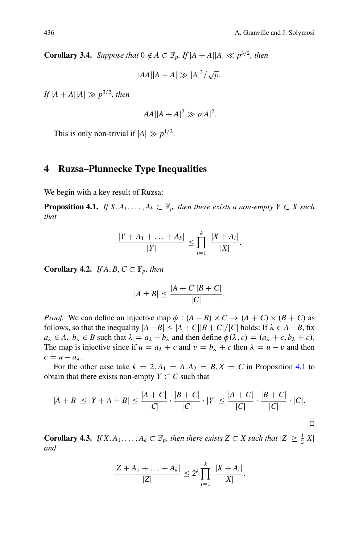**Corollary 3.4.** *Suppose that*  $0 \notin A \subseteq \mathbb{F}_p$ *. If*  $|A + A||A| \ll p^{3/2}$ *, then* 

 $|AA||A + A| \gg |A|^3 / \sqrt{p}$ .

 $If$   $|A + A||A| \gg p^{3/2}$ , then

$$
|AA||A+A|^2 \gg p|A|^2.
$$

This is only non-trivial if  $|A| \gg p^{1/2}$ .

#### **4 Ruzsa–Plunnecke Type Inequalities**

We begin with a key result of Ruzsa:

**Proposition 4.1.** *If*  $X, A_1, \ldots, A_k \subset \mathbb{F}_p$ , then there exists a non-empty  $Y \subset X$  such *that*

<span id="page-17-1"></span><span id="page-17-0"></span>
$$
\frac{|Y + A_1 + \ldots + A_k|}{|Y|} \le \prod_{i=1}^k \frac{|X + A_i|}{|X|}.
$$

**Corollary 4.2.** *If A*, *B*,  $C \subset \mathbb{F}_p$ , *then* 

$$
|A \pm B| \le \frac{|A+C||B+C|}{|C|}.
$$

*Proof.* We can define an injective map  $\phi$  :  $(A - B) \times C \rightarrow (A + C) \times (B + C)$  as follows, so that the inequality  $|A - B| \leq |A + C||B + C|/|C|$  holds: If  $\lambda \in A - B$ , fix  $a_{\lambda} \in A$ ,  $b_{\lambda} \in B$  such that  $\lambda = a_{\lambda} - b_{\lambda}$  and then define  $\phi(\lambda, c) = (a_{\lambda} + c, b_{\lambda} + c)$ . The map is injective since if  $u = a_{\lambda} + c$  and  $v = b_{\lambda} + c$  then  $\lambda = u - v$  and then  $c = u - a_\lambda.$ 

For the other case take  $k = 2$ ,  $A_1 = A$ ,  $A_2 = B$ ,  $X = C$  in Proposition [4.1](#page-17-0) to obtain that there exists non-empty  $Y \subset C$  such that

$$
|A + B| \le |Y + A + B| \le \frac{|A + C|}{|C|} \cdot \frac{|B + C|}{|C|} \cdot |Y| \le \frac{|A + C|}{|C|} \cdot \frac{|B + C|}{|C|} \cdot |C|.
$$

**Corollary 4.3.** *If*  $X, A_1, \ldots, A_k \subset \mathbb{F}_p$ , then there exists  $Z \subset X$  such that  $|Z| \geq \frac{1}{2}|X|$ *and*

<span id="page-17-2"></span>
$$
\frac{|Z+A_1+\ldots+A_k|}{|Z|}\leq 2^k \prod_{i=1}^k \frac{|X+A_i|}{|X|}.
$$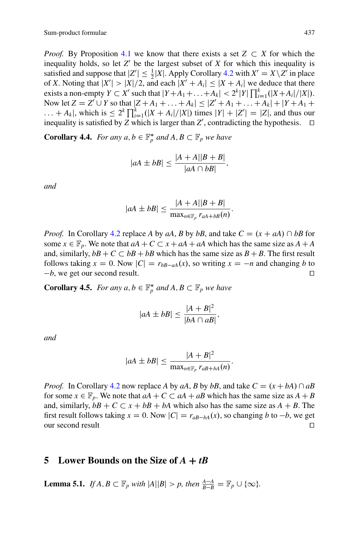*Proof.* By Proposition [4.1](#page-17-0) we know that there exists a set  $Z \subset X$  for which the inequality holds, so let  $Z'$  be the largest subset of  $X$  for which this inequality is satisfied and suppose that  $|Z'| \leq \frac{1}{2}|X|$ . Apply Corollary [4.2](#page-17-1) with  $X' = X \setminus Z'$  in place of *X*. Noting that  $|X'| > |X|/2$ , and each  $|X' + A_i| \leq |X + A_i|$  we deduce that there exists a non-empty  $Y \subset X'$  such that  $|Y + A_1 + ... + A_k| < 2^k |Y| \prod_{i=1}^k (|X + A_i| / |X|)$ .<br>Now let  $Z = Z' \cup Y$  so that  $|Z + A_1 + ... + A_k| < |Z' + A_1 + ... + A_k| + |Y + A_1 + ...$ Now let  $Z = Z' \cup Y$  so that  $|Z + A_1 + ... + A_k| \leq |Z' + A_1 + ... + A_k| + |Y + A_1 + ...$  $\ldots + A_k$ , which is  $\leq 2^k \prod_{i=1}^k (|X + A_i|/|X|)$  times  $|Y| + |Z'| = |Z|$ , and thus our inequality is satisfied by Z which is larger than Z' contradicting the hypothesis. inequality is satisfied by *Z* which is larger than *Z'*, contradicting the hypothesis.  $\Box$ 

**Corollary 4.4.** *For any a*,  $b \in \mathbb{F}_p^*$  *and A*,  $B \subset \mathbb{F}_p$  *we have* 

<span id="page-18-1"></span>
$$
|aA \pm bB| \le \frac{|A+A||B+B|}{|aA \cap bB|},
$$

*and*

$$
|aA \pm bB| \le \frac{|A+A||B+B|}{\max_{n \in \mathbb{F}_p} r_{aA+bB}(n)}
$$

:

*Proof.* In Corollary [4.2](#page-17-1) replace *A* by *aA*, *B* by *bB*, and take  $C = (x + aA) \cap bB$  for some  $x \in \mathbb{F}_p$ . We note that  $aA + C \subset x + aA + aA$  which has the same size as  $A + A$ and, similarly,  $bB + C \subset bB + bB$  which has the same size as  $B + B$ . The first result follows taking  $x = 0$ . Now  $|C| = r_{bB-aA}(x)$ , so writing  $x = -n$  and changing *b* to b we get our second result  $-b$ , we get our second result.

**Corollary 4.5.** *For any a*,  $b \in \mathbb{F}_p^*$  *and A*,  $B \subset \mathbb{F}_p$  *we have* 

$$
|aA \pm bB| \le \frac{|A + B|^2}{|bA \cap aB|},
$$

*and*

$$
|aA \pm bB| \leq \frac{|A + B|^2}{\max_{n \in \mathbb{F}_p} r_{aB + bA}(n)}.
$$

*Proof.* In Corollary [4.2](#page-17-1) now replace *A* by *aA*, *B* by *bB*, and take  $C = (x + bA) \cap aB$ for some  $x \in \mathbb{F}_p$ . We note that  $aA + C \subset aA + aB$  which has the same size as  $A + B$ and, similarly,  $bB + C \subset x + bB + bA$  which also has the same size as  $A + B$ . The first result follows taking  $x = 0$ . Now  $|C| = r_{aB-bA}(x)$ , so changing *b* to  $-b$ , we get our second result  $\Box$ 

#### **5** Lower Bounds on the Size of  $A + tB$

<span id="page-18-0"></span>**Lemma 5.1.** *If A, B*  $\subset \mathbb{F}_p$  *with*  $|A||B| > p$ *, then*  $\frac{A-A}{B-B} = \mathbb{F}_p \cup \{\infty\}$ *.*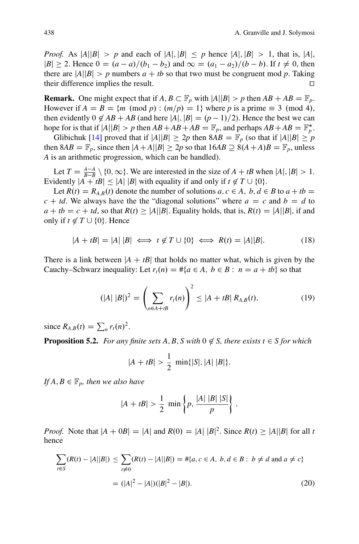*Proof.* As  $|A||B| > p$  and each of  $|A|, |B| \leq p$  hence  $|A|, |B| > 1$ , that is,  $|A|$ ,  $|B| \ge 2$ . Hence  $0 = (a - a)/(b_1 - b_2)$  and  $\infty = (a_1 - a_2)/(b - b)$ . If  $t \ne 0$ , then there are  $|A||B| > p$  numbers  $a + tb$  so that two must be congruent mod p. Taking their difference implies the result.  $\Box$ 

**Remark.** One might expect that if  $A, B \subset \mathbb{F}_p$  with  $|A||B| > p$  then  $AB + AB = \mathbb{F}_p$ . However if  $A = B = \{m \pmod{p} : (m/p) = 1\}$  where p is a prime  $\equiv 3 \pmod{4}$ , then evidently  $0 \notin AB + AB$  (and here  $|A|, |B| = (p-1)/2$ ). Hence the best we can hope for is that if  $|A||B| > p$  then  $AB + AB + AB = \mathbb{F}_p$ , and perhaps  $AB + AB = \mathbb{F}_p^*$ .

Glibichuk [\[14\]](#page-32-9) proved that if  $|A||B| \ge 2p$  then  $8AB = \mathbb{F}_p$  (so that if  $|A||B| \ge p$ then  $8AB = \mathbb{F}_p$ , since then  $|A + A||B| \geq 2p$  so that  $16AB \supseteq 8(A + A)B = \mathbb{F}_p$ , unless *A* is an arithmetic progression, which can be handled).

Let  $T = \frac{A-A}{B-B} \setminus \{0, \infty\}$ . We are interested in the size of  $A + tB$  when  $|A|, |B| > 1$ . Evidently  $|A + tB| \le |A| |B|$  with equality if and only if  $t \notin T \cup \{0\}$ .

Let  $R(t) = R_{A,B}(t)$  denote the number of solutions  $a, c \in A$ ,  $b, d \in B$  to  $a + tb =$  $c + td$ . We always have the the "diagonal solutions" where  $a = c$  and  $b = d$  to  $a + tb = c + td$ , so that  $R(t) \ge |A||B|$ . Equality holds, that is,  $R(t) = |A||B|$ , if and only if  $t \notin T \cup \{0\}$ . Hence

<span id="page-19-1"></span>
$$
|A + tB| = |A| |B| \iff t \notin T \cup \{0\} \iff R(t) = |A||B|.
$$
 (18)

There is a link between  $|A + tB|$  that holds no matter what, which is given by the Cauchy–Schwarz inequality: Let  $r_t(n) = #{a \in A, b \in B : n = a + tb}$  so that

<span id="page-19-0"></span>
$$
(|A| |B|)^2 = \left(\sum_{n \in A + tB} r_t(n)\right)^2 \le |A + tB| R_{A,B}(t), \tag{19}
$$

since  $R_{A,B}(t) = \sum_{n} r_t(n)^2$ .

**Proposition 5.2.** *For any finite sets A, B, S with*  $0 \notin S$ *, there exists*  $t \in S$  *for which* 

<span id="page-19-3"></span>
$$
|A + tB| > \frac{1}{2} \min\{|S|, |A| |B|\}.
$$

*If*  $A, B \in \mathbb{F}_p$ , then we also have

$$
|A + tB| > \frac{1}{2} \min \left\{ p, \frac{|A| |B| |S|}{p} \right\}.
$$

*Proof.* Note that  $|A + 0B| = |A|$  and  $R(0) = |A| |B|^2$ . Since  $R(t) \ge |A||B|$  for all *t* hence

<span id="page-19-2"></span>
$$
\sum_{t \in S} (R(t) - |A||B|) \le \sum_{t \ne 0} (R(t) - |A||B|) = #{a, c \in A, b, d \in B : b \ne d \text{ and } a \ne c}
$$
  
=  $(|A|^2 - |A|)(|B|^2 - |B|).$  (20)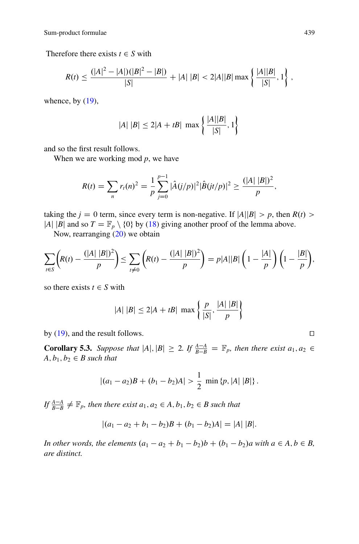Therefore there exists  $t \in S$  with

$$
R(t) \leq \frac{(|A|^2 - |A|)(|B|^2 - |B|)}{|S|} + |A| |B| < 2|A||B| \max \left\{ \frac{|A||B|}{|S|}, 1 \right\},\,
$$

whence, by  $(19)$ ,

$$
|A| \, |B| \le 2|A + tB| \, \max\left\{ \frac{|A||B|}{|S|}, 1 \right\}
$$

and so the first result follows.

When we are working mod *p*, we have

$$
R(t) = \sum_{n} r_t(n)^2 = \frac{1}{p} \sum_{j=0}^{p-1} |\hat{A}(j/p)|^2 |\hat{B}(jt/p)|^2 \geq \frac{(|A| |B|)^2}{p},
$$

taking the  $j = 0$  term, since every term is non-negative. If  $|A||B| > p$ , then  $R(t) >$ |*A*| |*B*| and so  $T = \mathbb{F}_p \setminus \{0\}$  by [\(18\)](#page-19-1) giving another proof of the lemma above.

Now, rearranging [\(20\)](#page-19-2) we obtain

$$
\sum_{t \in S} \left( R(t) - \frac{(|A| |B|)^2}{p} \right) \le \sum_{t \neq 0} \left( R(t) - \frac{(|A| |B|)^2}{p} \right) = p|A||B| \left( 1 - \frac{|A|}{p} \right) \left( 1 - \frac{|B|}{p} \right),
$$

so there exists  $t \in S$  with

$$
|A| \, |B| \le 2|A + tB| \, \max\left\{ \frac{p}{|S|}, \frac{|A| \, |B|}{p} \right\}
$$

by  $(19)$ , and the result follows.  $\Box$ 

**Corollary 5.3.** *Suppose that*  $|A|, |B| \ge 2$ *. If*  $\frac{A-A}{B-B} = \mathbb{F}_p$ *, then there exist a*<sub>1</sub>*, a*<sub>2</sub>  $\in$  *A b*<sub>1</sub>*, b*<sub>2</sub>  $\in$  *B such that*  $A, b_1, b_2 \in B$  such that

<span id="page-20-0"></span>
$$
|(a_1-a_2)B + (b_1-b_2)A| > \frac{1}{2} \min \{p, |A| |B|\}.
$$

*If*  $\frac{A-A}{B-B} \neq \mathbb{F}_p$ , then there exist  $a_1, a_2 \in A$ ,  $b_1, b_2 \in B$  such that

$$
|(a_1-a_2+b_1-b_2)B + (b_1-b_2)A| = |A| |B|.
$$

*In other words, the elements*  $(a_1 - a_2 + b_1 - b_2)b + (b_1 - b_2)a$  with  $a \in A, b \in B$ , *are distinct.*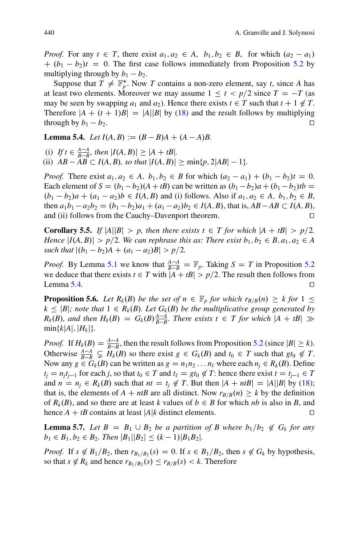*Proof.* For any  $t \in T$ , there exist  $a_1, a_2 \in A$ ,  $b_1, b_2 \in B$ , for which  $(a_2 - a_1)$  $+(b_1 - b_2)t = 0$ . The first case follows immediately from Proposition [5.2](#page-19-3) by multiplying through by  $b_1 - b_2$ .

Suppose that  $T \neq \mathbb{F}_p^*$ . Now *T* contains a non-zero element, say *t*, since *A* has at least two elements. Moreover we may assume  $1 \le t < p/2$  since  $T = -T$  (as may be seen by swapping  $a_1$  and  $a_2$ ). Hence there exists  $t \in T$  such that  $t + 1 \notin T$ . Therefore  $|A + (t + 1)B| = |A||B|$  by [\(18\)](#page-19-1) and the result follows by multiplying through by  $b_1 - b_2$ .

<span id="page-21-0"></span>**Lemma 5.4.** *Let*  $I(A, B) := (B - B)A + (A - A)B$ .

(i) If  $t \in \frac{A-A}{B-B}$ , then  $|I(A, B)| \ge |A + tB|$ .

(ii)  $AB - AB \subset I(A, B)$ , so that  $|I(A, B)| \ge \min\{p, 2|AB| - 1\}$ .

*Proof.* There exist  $a_1, a_2 \in A$ ,  $b_1, b_2 \in B$  for which  $(a_2 - a_1) + (b_1 - b_2)t = 0$ . Each element of  $S = (b_1 - b_2)(A + tB)$  can be written as  $(b_1 - b_2)a + (b_1 - b_2)tb$  $(b_1 - b_2)a + (a_1 - a_2)b \in I(A, B)$  and (i) follows. Also if  $a_1, a_2 \in A$ ,  $b_1, b_2 \in B$ , then  $a_1b_1 - a_2b_2 = (b_1 - b_2)a_1 + (a_1 - a_2)b_2 \in I(A, B)$ , that is,  $AB - AB \subset I(A, B)$ , and (ii) follows from the Cauchy–Davenport theorem.  $\Box$ 

**Corollary 5.5.** *If*  $|A||B| > p$ , then there exists  $t \in T$  for which  $|A + tB| > p/2$ . *Hence*  $|I(A, B)| > p/2$ . We can rephrase this as: There exist  $b_1, b_2 \in B$ ,  $a_1, a_2 \in A$ *such that*  $|(b_1 - b_2)A + (a_1 - a_2)B| > p/2$ .

*Proof.* By Lemma [5.1](#page-18-0) we know that  $\frac{A-A}{B-B} = \mathbb{F}_p$ . Taking  $S = T$  in Proposition [5.2](#page-19-3) we deduce that there exists  $t \in T$  with  $|A + tB| > p/2$ . The result then follows from Lemma [5.4.](#page-21-0)  $\Box$ 

<span id="page-21-2"></span>**Proposition 5.6.** Let  $R_k(B)$  be the set of  $n \in \mathbb{F}_p$  for which  $r_{B/B}(n) \geq k$  for  $1 \leq k \leq n$  $k \leq |B|$ *; note that*  $1 \in R_k(B)$ *. Let*  $G_k(B)$  *be the multiplicative group generated by*  $R_k(B)$ *, and then*  $H_k(B) = G_k(B) \frac{A-A}{B-B}$ *. There exists t*  $\in T$  *for which*  $|A + tB| \gg \min\{k|A| \ |H_k|\}$  $min\{k|A|, |H_k|\}.$ 

*Proof.* If  $H_k(B) = \frac{A-A}{B-B}$ , then the result follows from Proposition [5.2](#page-19-3) (since  $|B| \ge k$ ). Otherwise  $\frac{A-A}{B-B} \subsetneq H_k(B)$  so there exist  $g \in G_k(B)$  and  $t_0 \in T$  such that  $gt_0 \notin T$ . Now any  $g \in G_k(B)$  can be written as  $g = n_1 n_2 ... n_\ell$  where each  $n_j \in R_k(B)$ . Define  $t_j = n_j t_{j-1}$  for each *j*, so that  $t_0 \in T$  and  $t_\ell = gt_0 \notin T$ : hence there exist  $t = t_{j-1} \in T$ <br>and  $r = r_j \in P$  (*P*) such that  $rt = t_j \notin T$ . But than  $|A| + rtP| = |A||P|$  by (18) and  $n = n_j \in R_k(B)$  such that  $nt = t_j \notin T$ . But then  $|A + ntB| = |A||B|$  by [\(18\)](#page-19-1); that is, the elements of  $A + ntB$  are all distinct. Now  $r_{B/B}(n) \geq k$  by the definition of  $R_k(B)$ , and so there are at least k values of  $b \in B$  for which *nb* is also in *B*, and hence  $A + tB$  contains at least  $|A|k$  distinct elements.

<span id="page-21-1"></span>**Lemma 5.7.** Let  $B = B_1 \cup B_2$  be a partition of B where  $b_1/b_2 \notin G_k$  for any  $b_1 \in B_1, b_2 \in B_2$ . Then  $|B_1||B_2| \le (k-1)|B_1B_2|$ .

*Proof.* If  $s \notin B_1/B_2$ , then  $r_{B_1/B_2}(s) = 0$ . If  $s \in B_1/B_2$ , then  $s \notin G_k$  by hypothesis, so that  $s \notin R_k$  and hence  $r_{B_1/B_2}(s) \leq r_{B/B}(s) < k$ . Therefore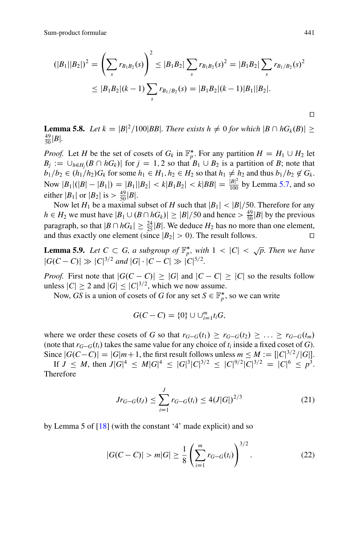Sum-product formulae 441

$$
(|B_1||B_2|)^2 = \left(\sum_s r_{B_1B_2}(s)\right)^2 \le |B_1B_2| \sum_s r_{B_1B_2}(s)^2 = |B_1B_2| \sum_s r_{B_1/B_2}(s)^2
$$
  
 
$$
\le |B_1B_2|(k-1) \sum_s r_{B_1/B_2}(s) = |B_1B_2|(k-1)|B_1||B_2|.
$$

<span id="page-22-2"></span>**Lemma 5.8.** Let  $k = |B|^2/100|BB$ . There exists  $h \neq 0$  for which  $|B \cap hG_k(B)| \geq$  $\frac{49}{50}$  |**B**|.

*Proof.* Let *H* be the set of cosets of  $G_k$  in  $\mathbb{F}_p^*$ . For any partition  $H = H_1 \cup H_2$  let  $B_j := \bigcup_{h \in H_j} (B \cap hG_k)$  for  $j = 1, 2$  so that  $B_1 \cup B_2$  is a partition of *B*; note that  $h, h \in (h, G)$  for some  $h \in H$ ,  $h \in H$ , so that  $h \neq h$ , and thus  $h, (h, G)$ .  $b_1/b_2 \in (h_1/h_2)G_k$  for some  $h_1 \in H_1, h_2 \in H_2$  so that  $h_1 \neq h_2$  and thus  $b_1/b_2 \notin G_k$ . Now  $|B_1|(|B| - |B_1|) = |B_1||B_2| < k|B_1B_2| < k|BB| = \frac{|B|^2}{100}$  by Lemma [5.7,](#page-21-1) and so either  $|B_1|$  or  $|B_2|$  is  $> \frac{49}{50} |B|$ .

Now let  $H_1$  be a maximal subset of *H* such that  $|B_1|$  <  $|B|/50$ . Therefore for any  $h \in H_2$  we must have  $|B_1 \cup (B \cap hG_k)| \geq |B|/50$  and hence  $> \frac{49}{50}|B|$  by the previous paragraph, so that  $|B \cap hG_k| \geq \frac{24}{25} |B|$ . We deduce  $H_2$  has no more than one element, and thus exactly one element (since  $|B_2| > 0$ ). The result follows.

<span id="page-22-3"></span>**Lemma 5.9.** Let  $C \subset G$ , a subgroup of  $\mathbb{F}_p^*$ , with  $1 < |C| < \sqrt{p}$ . Then we have  $|G(C-C)| \gg |C|^{3/2}$  and  $|G| \cdot |C-C| \gg |C|^{5/2}$ .

*Proof.* First note that  $|G(C - C)| \geq |G|$  and  $|C - C| \geq |C|$  so the results follow unless  $|C| \ge 2$  and  $|G| \le |C|^{3/2}$ , which we now assume.

Now, *GS* is a union of cosets of *G* for any set  $S \in \mathbb{F}_p^*$ , so we can write

$$
G(C - C) = \{0\} \cup \bigcup_{i=1}^{m} t_i G,
$$

where we order these cosets of *G* so that  $r_{G-G}(t_1) \geq r_{G-G}(t_2) \geq \ldots \geq r_{G-G}(t_m)$ <br>(note that  $r_{G-G}(t)$  takes the same value for any choice of *t* inside a fixed good of *G*.) (note that  $r_{G-G}(t_i)$  takes the same value for any choice of  $t_i$  inside a fixed coset of *G*).<br>Since  $|G(G-G)| = |G|$  in 1.1 the first result follows uplace  $m \le M := |G|^{3/2} / |G|$ . Since  $|G(C-C)| = |G|m+1$ , the first result follows unless  $m \leq M := [|C|^{3/2}/|G|]$ .

If  $J \leq M$ , then  $J|G|^4 \leq M|G|^4 \leq |G|^3|C|^{3/2} \leq |C|^{9/2}|C|^{3/2} = |C|^6 \leq p^3$ . Therefore

<span id="page-22-1"></span>
$$
Jr_{G-G}(t_J) \le \sum_{i=1}^{J} r_{G-G}(t_i) \le 4(J|G|)^{2/3}
$$
 (21)

by Lemma 5 of [\[18\]](#page-32-10) (with the constant '4' made explicit) and so

<span id="page-22-0"></span>
$$
|G(C - C)| > m|G| \ge \frac{1}{8} \left( \sum_{i=1}^{m} r_{G-G}(t_i) \right)^{3/2}.
$$
 (22)

 $\Box$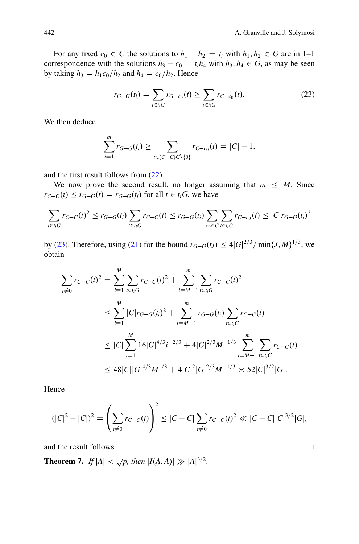For any fixed  $c_0 \in C$  the solutions to  $h_1 - h_2 = t_i$  with  $h_1, h_2 \in G$  are in 1–1 correspondence with the solutions  $h_3 - c_0 = t_i h_4$  with  $h_3, h_4 \in G$ , as may be seen by taking  $h_3 = h_1 c_0/h_2$  and  $h_4 = c_0/h_2$ . Hence

<span id="page-23-0"></span>
$$
r_{G-G}(t_i) = \sum_{t \in t_i G} r_{G-c_0}(t) \ge \sum_{t \in t_i G} r_{C-c_0}(t). \tag{23}
$$

We then deduce

$$
\sum_{i=1}^{m} r_{G-G}(t_i) \ge \sum_{t \in (C-C)G \setminus \{0\}} r_{C-c_0}(t) = |C| - 1,
$$

and the first result follows from [\(22\)](#page-22-0).

We now prove the second result, no longer assuming that  $m \leq M$ : Since  $r_{C-C}(t) \leq r_{G-G}(t) = r_{G-G}(t_i)$  for all  $t \in t_i$ *G*, we have

$$
\sum_{t \in t_i G} r_{C-C}(t)^2 \le r_{G-G}(t_i) \sum_{t \in t_i G} r_{C-C}(t) \le r_{G-G}(t_i) \sum_{c_0 \in C} \sum_{t \in t_i G} r_{C-c_0}(t) \le |C| r_{G-G}(t_i)^2
$$

by [\(23\)](#page-23-0). Therefore, using [\(21\)](#page-22-1) for the bound  $r_{G-G}(t_J) \leq 4|G|^{2/3}/\min\{J,M\}^{1/3}$ , we obtain obtain

$$
\sum_{i \neq 0} r_{C-C}(t)^2 = \sum_{i=1}^{M} \sum_{t \in t_i G} r_{C-C}(t)^2 + \sum_{i=M+1}^{m} \sum_{t \in t_i G} r_{C-C}(t)^2
$$
\n
$$
\leq \sum_{i=1}^{M} |C| r_{G-G}(t_i)^2 + \sum_{i=M+1}^{m} r_{G-G}(t_i) \sum_{t \in t_i G} r_{C-C}(t)
$$
\n
$$
\leq |C| \sum_{i=1}^{M} 16|G|^{4/3} i^{-2/3} + 4|G|^{2/3} M^{-1/3} \sum_{i=M+1}^{m} \sum_{t \in t_i G} r_{C-C}(t)
$$
\n
$$
\leq 48|C||G|^{4/3} M^{1/3} + 4|C|^2|G|^{2/3} M^{-1/3} \approx 52|C|^{3/2}|G|.
$$

Hence

$$
(|C|^2 - |C|)^2 = \left(\sum_{t \neq 0} r_{C-C}(t)\right)^2 \leq |C-C| \sum_{t \neq 0} r_{C-C}(t)^2 \ll |C-C||C|^{3/2}|G|,
$$

and the result follows.  $\Box$ 

**Theorem 7.** *If*  $|A| < \sqrt{p}$ *, then*  $|I(A, A)| \gg |A|^{3/2}$ *.*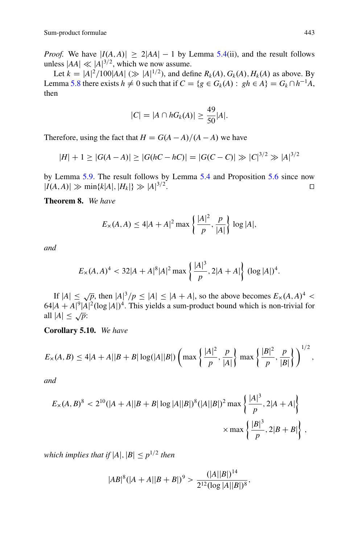*Proof.* We have  $|I(A, A)| \geq 2|AA| - 1$  by Lemma [5.4\(](#page-21-0)ii), and the result follows unless  $|AA| \ll |A|^{3/2}$ , which we now assume.

Let  $k = |A|^2 / 100 |AA|$  ( $\gg |A|^{1/2}$ ), and define  $R_k(A), G_k(A), H_k(A)$  as above. By Lemma [5.8](#page-22-2) there exists  $h \neq 0$  such that if  $C = \{g \in G_k(A) : gh \in A\} = G_k \cap h^{-1}A$ , then

$$
|C| = |A \cap hG_k(A)| \ge \frac{49}{50}|A|.
$$

Therefore, using the fact that  $H = G(A - A)/(A - A)$  we have

$$
|H| + 1 \ge |G(A - A)| \ge |G(hC - hC)| = |G(C - C)| \gg |C|^{3/2} \gg |A|^{3/2}
$$

by Lemma [5.9.](#page-22-3) The result follows by Lemma [5.4](#page-21-0) and Proposition [5.6](#page-21-2) since now  $|I(A, A)| \gg \min\{k|A|, |H_k|\} \gg |A|^{3/2}$ .  $3/2$ .

**Theorem 8.** *We have*

<span id="page-24-0"></span>
$$
E_X(A, A) \le 4|A + A|^2 \max \left\{ \frac{|A|^2}{p}, \frac{p}{|A|} \right\} \log |A|,
$$

*and*

$$
E_x(A,A)^4 < 32|A+A|^8|A|^2 \max\left\{\frac{|A|^3}{p}, 2|A+A|\right\} (\log|A|)^4.
$$

If  $|A| \le \sqrt{p}$ , then  $|A|^3/p \le |A| \le |A + A|$ , so the above becomes  $E_x(A, A)^4 < 64|A + A|^9|A|^2(\log |A|)^4$ . This yields a sum-product bound which is non-trivial for all  $|A| \leq \sqrt{p}$ :

<span id="page-24-1"></span>**Corollary 5.10.** *We have*

$$
E_{\times}(A,B) \le 4|A+A||B+B|\log(|A||B|)\left(\max\left\{\frac{|A|^2}{p},\frac{p}{|A|}\right\}\max\left\{\frac{|B|^2}{p},\frac{p}{|B|}\right\}\right)^{1/2},\,
$$

*and*

$$
E_{\times}(A,B)^{8} < 2^{10}(|A+A||B+B|\log|A||B|)^{8}(|A||B|)^{2} \max\left\{\frac{|A|^{3}}{p}, 2|A+A|\right\}
$$
\n
$$
\times \max\left\{\frac{|B|^{3}}{p}, 2|B+B|\right\},\,
$$

*which implies that if*  $|A|, |B| \leq p^{1/2}$  *then* 

$$
|AB|^8(|A+A||B+B|)^9 > \frac{(|A||B|)^{14}}{2^{12}(\log |A||B|)^8},
$$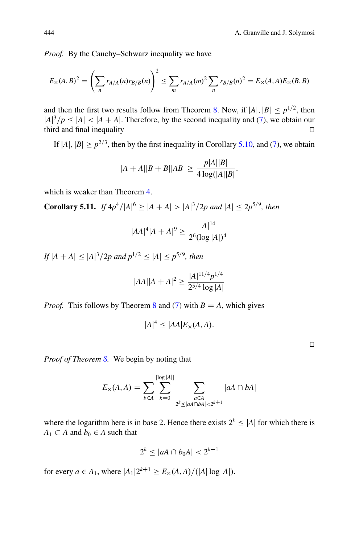*Proof.* By the Cauchy–Schwarz inequality we have

$$
E_{\times}(A,B)^{2} = \left(\sum_{n} r_{A/A}(n) r_{B/B}(n)\right)^{2} \le \sum_{m} r_{A/A}(m)^{2} \sum_{n} r_{B/B}(n)^{2} = E_{\times}(A,A) E_{\times}(B,B)
$$

and then the first two results follow from Theorem [8.](#page-24-0) Now, if  $|A|, |B| \leq p^{1/2}$ , then  $|A|^3/p \leq |A| < |A + A|$ . Therefore, by the second inequality and [\(7\)](#page-6-0), we obtain our third and final inequality  $\Box$ 

If  $|A|, |B| \ge p^{2/3}$ , then by the first inequality in Corollary [5.10,](#page-24-1) and [\(7\)](#page-6-0), we obtain

$$
|A + A||B + B||AB| \ge \frac{p|A||B|}{4\log(|A||B|)}.
$$

which is weaker than Theorem [4.](#page-13-0)

**Corollary 5.11.** *If*  $4p^4/|A|^6 \geq |A + A| > |A|^3/2p$  and  $|A| \leq 2p^{5/9}$ , then

<span id="page-25-0"></span>
$$
|AA|^4|A+A|^9 \ge \frac{|A|^{14}}{2^6 (\log |A|)^4}
$$

*If*  $|A + A| \leq |A|^3/2p$  and  $p^{1/2} \leq |A| \leq p^{5/9}$ , then

$$
|AA||A+A|^2 \ge \frac{|A|^{11/4}p^{1/4}}{2^{5/4}\log|A|}
$$

*Proof.* This follows by Theorem [8](#page-24-0) and [\(7\)](#page-6-0) with  $B = A$ , which gives

$$
|A|^4 \le |AA|E_{\times}(A,A).
$$

*Proof of Theorem [8.](#page-24-0)* We begin by noting that

$$
E_{\times}(A, A) = \sum_{b \in A} \sum_{k=0}^{\lfloor \log |A| \rfloor} \sum_{\substack{a \in A \\ 2^{k} \le |aA \cap bA| < 2^{k+1}}} |aA \cap bA|
$$

where the logarithm here is in base 2. Hence there exists  $2^k \leq |A|$  for which there is  $A_1 \subset A$  and  $b_0 \in A$  such that

$$
2^k \le |aA \cap b_0A| < 2^{k+1}
$$

for every  $a \in A_1$ , where  $|A_1|2^{k+1} \ge E_\times(A, A)/(|A| \log |A|)$ .

 $\Box$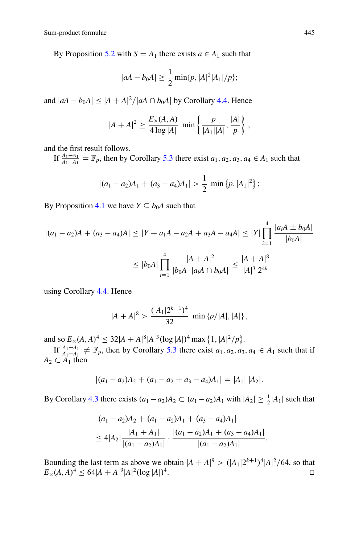By Proposition [5.2](#page-19-3) with  $S = A_1$  there exists  $a \in A_1$  such that

$$
|aA - b_0A| \ge \frac{1}{2} \min\{p, |A|^2 |A_1|/p\};
$$

and  $|aA - b_0A| \leq |A + A|^2/|aA \cap b_0A|$  by Corollary [4.4.](#page-18-1) Hence

$$
|A + A|^2 \ge \frac{E_x(A, A)}{4 \log |A|} \min \left\{ \frac{p}{|A_1||A|}, \frac{|A|}{p} \right\},\,
$$

and the first result follows.

If  $\frac{A_1 - A_1}{A_1 - A_1} = \mathbb{F}_p$ , then by Corollary [5.3](#page-20-0) there exist  $a_1, a_2, a_3, a_4 \in A_1$  such that

$$
|(a_1-a_2)A_1+(a_3-a_4)A_1|>\frac{1}{2}
$$
 min  $\{p, |A_1|^2\}$ ;

By Proposition [4.1](#page-17-0) we have  $Y \subseteq b_0A$  such that

$$
|(a_1 - a_2)A + (a_3 - a_4)A| \le |Y + a_1A - a_2A + a_3A - a_4A| \le |Y| \prod_{i=1}^4 \frac{|a_iA \pm b_0A|}{|b_0A|}
$$
  

$$
\le |b_0A| \prod_{i=1}^4 \frac{|A + A|^2}{|b_0A| |a_iA \cap b_0A|} \le \frac{|A + A|^8}{|A|^3 2^{4k}}
$$

using Corollary [4.4.](#page-18-1) Hence

$$
|A + A|^8 > \frac{(|A_1|2^{k+1})^4}{32} \min \{p/|A|, |A|\},
$$

and so  $E_x(A, A)^4 \leq 32|A + A|^8 |A|^3 (\log |A|)^4 \max \{1, |A|^2/p\}.$ 

If  $\frac{A_1 - A_1}{A_1 - A_1} \neq \mathbb{F}_p$ , then by Corollary [5.3](#page-20-0) there exist  $a_1, a_2, a_3, a_4 \in A_1$  such that if  $\subset A_1$  then  $A_2 \subset A_1$  then

$$
|(a_1-a_2)A_2+(a_1-a_2+a_3-a_4)A_1|=|A_1||A_2|.
$$

By Corollary [4.3](#page-17-2) there exists  $(a_1 - a_2)A_2 \subset (a_1 - a_2)A_1$  with  $|A_2| \ge \frac{1}{2}|A_1|$  such that

$$
\begin{aligned} & |(a_1 - a_2)A_2 + (a_1 - a_2)A_1 + (a_3 - a_4)A_1| \\ &\le 4|A_2| \frac{|A_1 + A_1|}{|(a_1 - a_2)A_1|} \cdot \frac{|(a_1 - a_2)A_1 + (a_3 - a_4)A_1|}{|(a_1 - a_2)A_1|} .\end{aligned}
$$

Bounding the last term as above we obtain  $|A + A|^9 > (|A_1|2^{k+1})^4 |A|^2 / 64$ , so that  $E_x(A, A)^4 \le 64|A + A|^9|A|^2(\log |A|)^4.$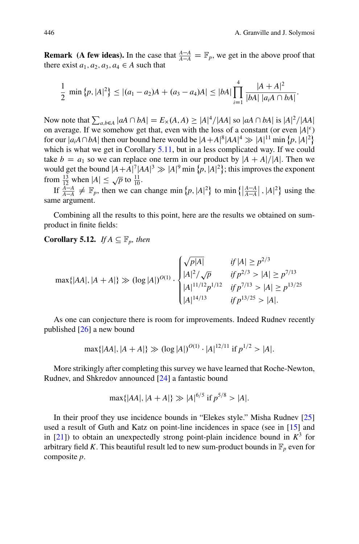**Remark (A few ideas).** In the case that  $\frac{A-A}{A-A} = \mathbb{F}_p$ , we get in the above proof that there exist  $a_1, a_2, a_3, a_4 \in A$  such that there exist  $a_1, a_2, a_3, a_4 \in A$  such that

$$
\frac{1}{2} \min \{p, |A|^2\} \leq |(a_1 - a_2)A + (a_3 - a_4)A| \leq |bA| \prod_{i=1}^4 \frac{|A + A|^2}{|bA| |a_iA \cap bA|}.
$$

Now note that  $\sum_{a,b \in A} |aA \cap bA| = E_x(A, A) \ge |A|^4/|AA|$  so  $|aA \cap bA|$  is  $|A|^2/|AA|$ <br>on average. If we somehow get that, even with the loss of a constant (or even  $|A|^{\epsilon}$ ) on average. If we somehow get that, even with the loss of a constant (or even  $|A|^{\epsilon}$ ) for our  $|a_iA \cap bA|$  then our bound here would be  $|A + A|^8 |AA|^4 \gg |A|^{11} \min \{p, |A|^2\}$ which is what we get in Corollary [5.11,](#page-25-0) but in a less complicated way. If we could take  $b = a_1$  so we can replace one term in our product by  $|A + A|/|A|$ . Then we would get the bound  $|A + A|^7 |AA|^3 \gg |A|^9 \text{ min } \{p, |A|^2\}$ ; this improves the exponent from  $\frac{13}{12}$  when  $|A| \le \sqrt{p}$  to  $\frac{11}{10}$ .

If  $\frac{A-A}{A-A} \neq \mathbb{F}_p$ , then we can change min  $\{p, |A|^2\}$  to min  $\{\left|\frac{A-A}{A-A}\right|, |A|^2\}$  using the same argument.

Combining all the results to this point, here are the results we obtained on sumproduct in finite fields:

**Corollary 5.12.** *If*  $A \subseteq \mathbb{F}_p$ *, then* 

$$
\max\{|AA|, |A+A|\} \gg (\log|A|)^{O(1)} \cdot \begin{cases} \sqrt{p|A|} & \text{if } |A| \ge p^{2/3} \\ |A|^2/\sqrt{p} & \text{if } p^{2/3} > |A| \ge p^{7/13} \\ |A|^{11/12}p^{1/12} & \text{if } p^{7/13} > |A| \ge p^{13/25} \\ |A|^{14/13} & \text{if } p^{13/25} > |A|. \end{cases}
$$

As one can conjecture there is room for improvements. Indeed Rudnev recently published [\[26\]](#page-32-11) a new bound

$$
\max\{|AA|, |A+A|\} \gg (\log|A|)^{O(1)} \cdot |A|^{12/11} \text{ if } p^{1/2} > |A|.
$$

More strikingly after completing this survey we have learned that Roche-Newton, Rudnev, and Shkredov announced [\[24\]](#page-32-12) a fantastic bound

$$
\max\{|AA|, |A+A|\} \gg |A|^{6/5} \text{ if } p^{5/8} > |A|.
$$

In their proof they use incidence bounds in "Elekes style." Misha Rudnev [\[25\]](#page-32-13) used a result of Guth and Katz on point-line incidences in space (see in [\[15\]](#page-32-14) and in  $[21]$ ) to obtain an unexpectedly strong point-plain incidence bound in  $K^3$  for arbitrary field *K*. This beautiful result led to new sum-product bounds in  $\mathbb{F}_p$  even for composite *p*: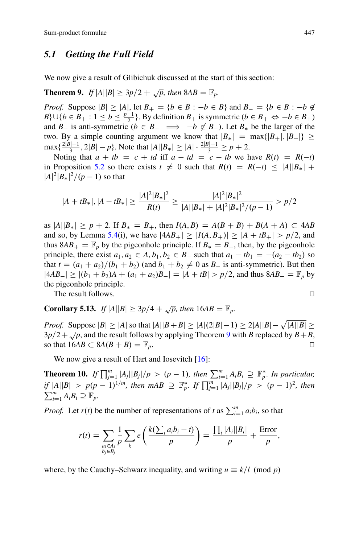#### *5.1 Getting the Full Field*

We now give a result of Glibichuk discussed at the start of this section:

<span id="page-28-0"></span>**Theorem 9.** *If*  $|A||B| > 3p/2 + \sqrt{p}$ , then  $8AB = \mathbb{F}_p$ .

*Proof.* Suppose  $|B| \ge |A|$ , let  $B_+ = \{b \in B : -b \in B\}$  and  $B_- = \{b \in B : -b \notin B\}$ <br>  $B \cup \{b \in B_+ : 1 \le b \le b^{-1}\}$ . By definition *B* is symmetric  $(b \in B_+ \Leftrightarrow b \in B_+ \}$  $B$ ;  $\cup$  { $b \in B_+ : 1 \le b \le \frac{p-1}{2}$ }. By definition  $B_+$  is symmetric  $(b \in B_+ \Leftrightarrow -b \in B_+)$ and *B*<sub>-</sub> is anti-symmetric ( $b \in B_-\implies -b \notin B_-\$ ). Let  $B_*$  be the larger of the two. By a simple counting argument we know that  $|B_*| = \max\{|B_+|, |B_-|\} \ge$  $\max\{\frac{2|B|-1}{3}, 2|B| - p\}.$  Note that  $|A||B_{*}| \ge |A| \cdot \frac{2|B|-1}{3} \ge p + 2.$ <br>Noting that  $a + th = a + td$  iff  $a + td = a + th$  we have

Noting that  $a + tb = c + td$  iff  $a - td = c - tb$  we have  $R(t) = R(-t)$ in Proposition [5.2](#page-19-3) so there exists  $t \neq 0$  such that  $R(t) = R(-t) \leq |A||B_{*}| +$  $|A|^2 |B_*|^2 / (p - 1)$  so that

$$
|A + tB_*|, |A - tB_*| \ge \frac{|A|^2 |B_*|^2}{R(t)} \ge \frac{|A|^2 |B_*|^2}{|A||B_*| + |A|^2 |B_*|^2 / (p - 1)} > p/2
$$

as  $|A||B_*| \ge p + 2$ . If  $B_* = B_+$ , then  $I(A, B) = A(B + B) + B(A + A) \subset 4AB$ <br>and so by Lamma 5.4(i), we have  $|AB_+| > |I(A, B_+)| > |A_+ + B_-| > n/2$  and and so, by Lemma [5.4\(](#page-21-0)i), we have  $|4AB_{+}| \ge |I(A, B_{+})| \ge |A + tB_{+}| > p/2$ , and thus  $8AB_+ = \mathbb{F}_p$  by the pigeonhole principle. If  $B_* = B_-$ , then, by the pigeonhole principle, there exist  $B_* \subseteq B$ , such that  $a_*$ , the  $a_* = (a_* - b_*)$ principle, there exist  $a_1, a_2 \in A$ ,  $b_1, b_2 \in B$ , such that  $a_1 - tb_1 = -(a_2 - tb_2)$  so<br>that  $t = (a_1 + a_2)/(b_1 + b_2)$  (and  $b_1 + b_2 \neq 0$  as  $B_2$  is anti-symmetric). But then that  $t = (a_1 + a_2)/(b_1 + b_2)$  (and  $b_1 + b_2 \neq 0$  as  $B_-$  is anti-symmetric). But then<br> $\frac{|AB|}{|AB|}$   $\geq |(b_1 + b_2)A_+|(a_2 + a_3)B_+| = |A_+ + B| \geq |a_1|^2$  and thus  $\frac{8AB_-}{|B_+ - B_-|}$  but  $|4AB_{-}| \ge |(b_1 + b_2)A + (a_1 + a_2)B_{-}| = |A + tB| > p/2$ , and thus  $8AB_{-} = \mathbb{F}_p$  by the pigeophology principle the pigeonhole principle.

The result follows.  $\Box$ 

**Corollary 5.13.** *If*  $|A||B| \ge 3p/4 + \sqrt{p}$ , then  $16AB = \mathbb{F}_p$ .

*Proof.* Suppose  $|B| \ge |A|$  so that  $|A||B + B| \ge |A|(2|B| - 1) \ge 2|A||B| - \sqrt{|A||B|} >$  $3p/2+\sqrt{p}$ , and the result follows by applying Theorem [9](#page-28-0) with *B* replaced by  $B+B$ , so that  $16AB \subset 8A(B+B) = \mathbb{F}_p$ .

We now give a result of Hart and Iosevitch  $[16]$ :

**Theorem 10.** *If*  $\prod_{i=1}^m |A_i||B_i|/p > (p-1)$ , then  $\sum_{i=1}^m A_iB_i \supseteq \mathbb{F}_p^*$ , In particular,<br>if  $|A||B_i| > (p-1) \cdot |B_i|/m$ , then  $mAP \supseteq \mathbb{F}_p^*$ , if  $\Pi^m = |A||B_i|/n > (p-1)^2$ , then *if*  $|A||B| > p(p-1)^{1/m}$ , then  $mAB \supseteq \mathbb{F}_p^*$ . If  $\prod_{j=1}^m |A_j||B_j|/p > (p-1)^2$ , then  $\sum_{i=1}^{m} A_i B_i \supseteq \mathbb{F}_p$ .

*Proof.* Let  $r(t)$  be the number of representations of *t* as  $\sum_{i=1}^{m} a_i b_i$ , so that

$$
r(t) = \sum_{\substack{a_i \in A_i \\ b_j \in B_j}} \frac{1}{p} \sum_k e\left(\frac{k(\sum_i a_i b_i - t)}{p}\right) = \frac{\prod_i |A_i||B_i|}{p} + \frac{\text{Error}}{p},
$$

where, by the Cauchy–Schwarz inequality, and writing  $u \equiv k/l \pmod{p}$ 

$$
\overline{a}
$$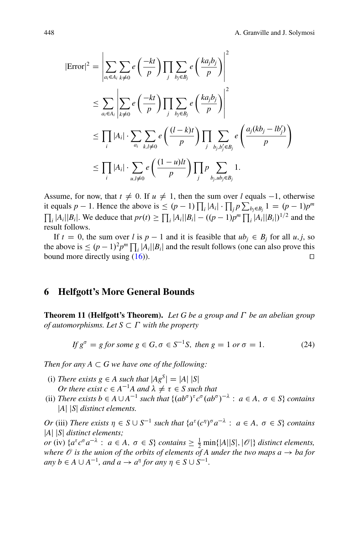$$
|\text{Error}|^{2} = \left| \sum_{a_{i} \in A_{i}} \sum_{k \neq 0} e\left(\frac{-kt}{p}\right) \prod_{j} \sum_{b_{j} \in B_{j}} e\left(\frac{ka_{j}b_{j}}{p}\right) \right|^{2}
$$
  

$$
\leq \sum_{a_{i} \in A_{i}} \left| \sum_{k \neq 0} e\left(\frac{-kt}{p}\right) \prod_{j} \sum_{b_{j} \in B_{j}} e\left(\frac{ka_{j}b_{j}}{p}\right) \right|^{2}
$$
  

$$
\leq \prod_{i} |A_{i}| \cdot \sum_{a_{i}} \sum_{k, l \neq 0} e\left(\frac{(l-k)t}{p}\right) \prod_{j} \sum_{b_{j}, b_{j}^{\prime} \in B_{j}} e\left(\frac{a_{j}(kb_{j} - lb_{j}^{\prime})}{p}\right)
$$
  

$$
\leq \prod_{i} |A_{i}| \cdot \sum_{u, l \neq 0} e\left(\frac{(1-u)lt}{p}\right) \prod_{j} p \sum_{b_{j}, ub_{j} \in B_{j}} 1.
$$

Assume, for now, that  $t \neq 0$ . If  $u \neq 1$ , then the sum over *l* equals -1, otherwise it equals  $p - 1$ . Hence the above is  $\leq (p - 1) \prod_i |A_i| \cdot \prod_j p \sum_{b_j \in B_j} 1 = (p - 1)p^m$  $\prod_i |A_i||B_i|$ . We deduce that  $pr(t) \ge \prod_i |A_i||B_i| - ((p-1)p^m \prod_i |A_i||B_i|)^{1/2}$  and the result follows.

If  $t = 0$ , the sum over *l* is  $p - 1$  and it is feasible that  $ub_i \in B_i$  for all  $u, j$ , so the above is  $\leq (p-1)^2 p^m \prod_i |A_i||B_i|$  and the result follows (one can also prove this bound more directly using  $(16)$ .

### **6 Helfgott's More General Bounds**

**Theorem 11 (Helfgott's Theorem).** *Let G be a group and be an abelian group of automorphisms. Let*  $S \subset \Gamma$  *with the property* 

<span id="page-29-0"></span>
$$
If g^{\sigma} = g \text{ for some } g \in G, \sigma \in S^{-1}S, \text{ then } g = 1 \text{ or } \sigma = 1. \tag{24}
$$

*Then for any*  $A \subset G$  *we have one of the following:* 

- (i) *There exists g*  $\in$  *A such that*  $|Ag^S| = |A| |S|$ *Or there exist*  $c \in A^{-1}A$  and  $\lambda \neq \tau \in S$  such that
- (ii) *There exists b*  $\in$  *A*  $\cup$  *A*<sup>-1</sup> *such that* { $(ab^{\sigma})^{\tau}c^{\sigma}(ab^{\sigma})^{-\lambda}$  : *a*  $\in$  *A*, *o*  $\in$  *S*} *contains* j*A*j j*S*j *distinct elements.*

*Or* (iii) *There exists*  $\eta \in S \cup S^{-1}$  *such that*  $\{a^{\tau}(c^{\eta})^{\sigma}a^{-\lambda} : a \in A, \sigma \in S\}$  *contains* j*A*j j*S*j *distinct elements;*

*or* (iv)  $\{a^{\tau}c^{\sigma}a^{-\lambda}: a \in A, \sigma \in S\}$  *contains*  $\geq \frac{1}{2}$  min $\{|A||S|, |\mathscr{O}|\}$  *distinct elements, where*  $\mathcal O$  *is the union of the orbits of elements of A under the two maps a*  $\rightarrow$  *ba for*  $any b \in A \cup A^{-1}$ *, and*  $a \rightarrow a^{\eta}$  *for any*  $\eta \in S \cup S^{-1}$ *.*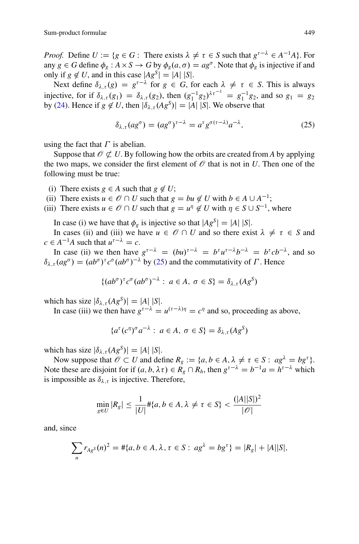*Proof.* Define  $U := \{ g \in G : \text{ There exists } \lambda \neq \tau \in S \text{ such that } g^{\tau-\lambda} \in A^{-1}A \}.$  For any  $g \in G$  define  $\phi_g : A \times S \to G$  by  $\phi_g(a, \sigma) = ag^{\sigma}$ . Note that  $\phi_g$  is injective if and only if  $g \notin U$ , and in this case  $|Ag^S| = |A| |S|$ .

Next define  $\delta_{\lambda,\tau}(g) = g^{\tau-\lambda}$  for  $g \in G$ , for each  $\lambda \neq \tau \in S$ . This is always injective, for if  $\delta_{\lambda,\tau}(g_1) = \delta_{\lambda,\tau}(g_2)$ , then  $(g_1^{-1}g_2)^{\lambda\tau^{-1}} = g_1^{-1}g_2$ , and so  $g_1 = g_2$ by [\(24\)](#page-29-0). Hence if  $g \notin U$ , then  $|\delta_{\lambda,\tau}(Ag^S)| = |A| |S|$ . We observe that

<span id="page-30-0"></span>
$$
\delta_{\lambda,\tau}(ag^{\sigma}) = (ag^{\sigma})^{\tau-\lambda} = a^{\tau} g^{\sigma(\tau-\lambda)} a^{-\lambda},\tag{25}
$$

using the fact that  $\Gamma$  is abelian.

Suppose that  $\mathcal{O} \not\subset U$ . By following how the orbits are created from *A* by applying the two maps, we consider the first element of  $\mathcal O$  that is not in *U*. Then one of the following must be true:

- (i) There exists  $g \in A$  such that  $g \notin U$ ;
- (ii) There exists  $u \in \mathcal{O} \cap U$  such that  $g = bu \notin U$  with  $b \in A \cup A^{-1}$ ;
- (iii) There exists  $u \in \mathcal{O} \cap U$  such that  $g = u^{\eta} \notin U$  with  $\eta \in S \cup S^{-1}$ , where

In case (i) we have that  $\phi_g$  is injective so that  $|Ag^S| = |A| |S|$ .

In cases (ii) and (iii) we have  $u \in \mathscr{O} \cap U$  and so there exist  $\lambda \neq \tau \in S$  and  $c \in A^{-1}A$  such that  $u^{\tau-\lambda} = c$ .

In case (ii) we then have  $g^{\tau-\lambda} = (bu)^{\tau-\lambda} = b^{\tau}u^{\tau-\lambda}b^{-\lambda} = b^{\tau}cb^{-\lambda}$ , and so  $\delta_{\lambda,\tau}(ag^{\sigma}) = (ab^{\sigma})^{\tau} c^{\sigma} (ab^{\sigma})^{-\lambda}$  by [\(25\)](#page-30-0) and the commutativity of  $\Gamma$ . Hence

$$
\{(ab^{\sigma})^{\tau}c^{\sigma}(ab^{\sigma})^{-\lambda}: a \in A, \sigma \in S\} = \delta_{\lambda,\tau}(Ag^{S})
$$

which has size  $|\delta_{\lambda,\tau}(Ag^S)| = |A| |S|$ .

In case (iii) we then have  $g^{\tau-\lambda} = u^{(\tau-\lambda)\eta} = c^{\eta}$  and so, proceeding as above,

$$
\{a^{\tau}(c^{\eta})^{\sigma}a^{-\lambda}: a \in A, \sigma \in S\} = \delta_{\lambda,\tau}(Ag^{S})
$$

which has size  $|\delta_{\lambda,\tau}(Ag^S)| = |A| |S|$ .

Now suppose that  $\mathcal{O} \subset U$  and define  $R_g := \{a, b \in A, \lambda \neq \tau \in S : a g^{\lambda} = b g^{\tau}\}.$ Note these are disjoint for if  $(a, b, \lambda \tau) \in R_g \cap R_h$ , then  $g^{\tau-\lambda} = b^{-1}a = h^{\tau-\lambda}$  which is impossible as  $\delta_{\lambda,\tau}$  is injective. Therefore,

$$
\min_{g \in U} |R_g| \le \frac{1}{|U|} \# \{a, b \in A, \lambda \ne \tau \in S\} < \frac{(|A||S|)^2}{|\mathscr{O}|}
$$

and, since

$$
\sum_{n} r_{Ag^S}(n)^2 = #\{a, b \in A, \lambda, \tau \in S : ag^{\lambda} = bg^{\tau}\} = |R_g| + |A||S|,
$$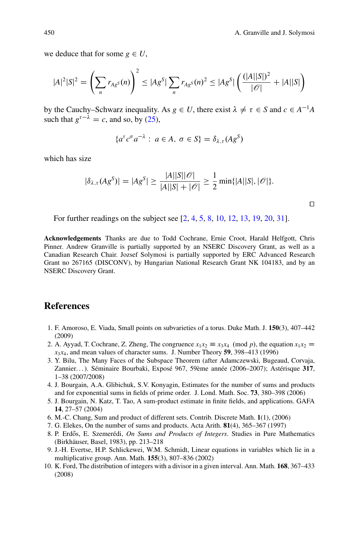we deduce that for some  $g \in U$ ,

$$
|A|^2|S|^2 = \left(\sum_n r_{Ag^S}(n)\right)^2 \le |Ag^S| \sum_n r_{Ag^S}(n)^2 \le |Ag^S| \left(\frac{(|A||S|)^2}{|\mathcal{O}|} + |A||S|\right)
$$

by the Cauchy–Schwarz inequality. As  $g \in U$ , there exist  $\lambda \neq \tau \in S$  and  $c \in A^{-1}A$ such that  $g^{\tau-\lambda} = c$ , and so, by [\(25\)](#page-30-0),

$$
\{a^{\tau}c^{\sigma}a^{-\lambda}: a \in A, \sigma \in S\} = \delta_{\lambda,\tau}(Ag^{S})
$$

which has size

$$
|\delta_{\lambda,\tau}(Ag^S)| = |Ag^S| \ge \frac{|A||S||\mathscr{O}|}{|A||S| + |\mathscr{O}|} \ge \frac{1}{2} \min\{|A||S|, |\mathscr{O}|\}.
$$

For further readings on the subject see [\[2,](#page-31-5) [4,](#page-31-6) [5,](#page-31-7) [8,](#page-31-8) [10,](#page-31-9) [12,](#page-32-17) [13,](#page-32-18) [19,](#page-32-19) [20,](#page-32-20) [31\]](#page-32-21).

**Acknowledgements** Thanks are due to Todd Cochrane, Ernie Croot, Harald Helfgott, Chris Pinner. Andrew Granville is partially supported by an NSERC Discovery Grant, as well as a Canadian Research Chair. Jozsef Solymosi is partially supported by ERC Advanced Research Grant no 267165 (DISCONV), by Hungarian National Research Grant NK 104183, and by an NSERC Discovery Grant.

#### **References**

- <span id="page-31-4"></span>1. F. Amoroso, E. Viada, Small points on subvarieties of a torus. Duke Math. J. **150**(3), 407–442 (2009)
- <span id="page-31-5"></span>2. A. Ayyad, T. Cochrane, Z. Zheng, The congruence  $x_1x_2 \equiv x_3x_4 \pmod{p}$ , the equation  $x_1x_2 = x_3x_4$  $x_3x_4$ , and mean values of character sums. J. Number Theory **59**, 398–413 (1996)
- <span id="page-31-2"></span>3. Y. Bilu, The Many Faces of the Subspace Theorem (after Adamczewski, Bugeaud, Corvaja, Zannier. . . ). Séminaire Bourbaki, Exposé 967, 59ème année (2006–2007); Astérisque **317**, 1–38 (2007/2008)
- <span id="page-31-6"></span>4. J. Bourgain, A.A. Glibichuk, S.V. Konyagin, Estimates for the number of sums and products and for exponential sums in fields of prime order. J. Lond. Math. Soc. **73**, 380–398 (2006)
- <span id="page-31-7"></span>5. J. Bourgain, N. Katz, T. Tao, A sum-product estimate in finite fields, and applications. GAFA **14**, 27–57 (2004)
- <span id="page-31-1"></span>6. M.-C. Chang, Sum and product of different sets. Contrib. Discrete Math. **1**(1), (2006)
- <span id="page-31-0"></span>7. G. Elekes, On the number of sums and products. Acta Arith. **81**(4), 365–367 (1997)
- <span id="page-31-8"></span>8. P. Erdős, E. Szemerédi, *On Sums and Products of Integers*. Studies in Pure Mathematics (Birkhäuser, Basel, 1983), pp. 213–218
- <span id="page-31-3"></span>9. J.-H. Evertse, H.P. Schlickewei, W.M. Schmidt, Linear equations in variables which lie in a multiplicative group. Ann. Math. **155**(3), 807–836 (2002)
- <span id="page-31-9"></span>10. K. Ford, The distribution of integers with a divisor in a given interval. Ann. Math. **168**, 367–433 (2008)

 $\Box$